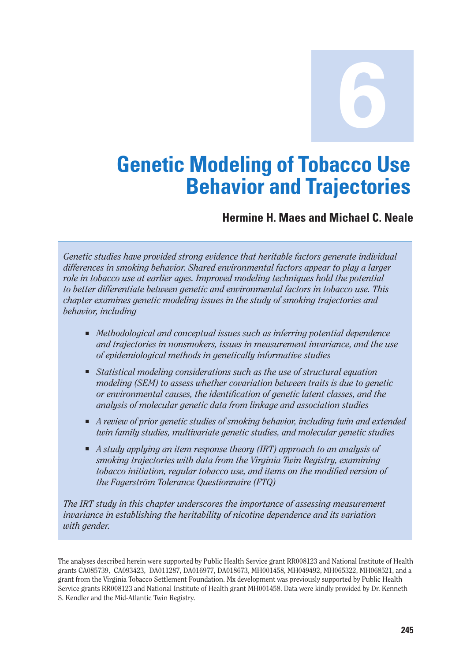**6**

# **Genetic Modeling of Tobacco Use Behavior and Trajectories**

#### **Hermine H. Maes and Michael C. Neale**

*Genetic studies have provided strong evidence that heritable factors generate individual differences in smoking behavior. Shared environmental factors appear to play a larger role in tobacco use at earlier ages. Improved modeling techniques hold the potential to better differentiate between genetic and environmental factors in tobacco use. This chapter examines genetic modeling issues in the study of smoking trajectories and behavior, including* 

- *Methodological and conceptual issues such as inferring potential dependence and trajectories in nonsmokers, issues in measurement invariance, and the use of epidemiological methods in genetically informative studies*
- Statistical modeling considerations such as the use of structural equation *modeling (SEM) to assess whether covariation between traits is due to genetic or environmental causes, the identification of genetic latent classes, and the analysis of molecular genetic data from linkage and association studies*
- *A review of prior genetic studies of smoking behavior, including twin and extended twin family studies, multivariate genetic studies, and molecular genetic studies*
- *A study applying an item response theory (IRT) approach to an analysis of smoking trajectories with data from the Virginia Twin Registry, examining tobacco initiation, regular tobacco use, and items on the modified version of the Fagerström Tolerance Questionnaire (FTQ)*

*The IRT study in this chapter underscores the importance of assessing measurement invariance in establishing the heritability of nicotine dependence and its variation with gender.* 

The analyses described herein were supported by Public Health Service grant RR008123 and National Institute of Health grants CA085739, CA093423, DA011287, DA016977, DA018673, MH001458, MH049492, MH065322, MH068521, and a grant from the Virginia Tobacco Settlement Foundation. Mx development was previously supported by Public Health Service grants RR008123 and National Institute of Health grant MH001458. Data were kindly provided by Dr. Kenneth S. Kendler and the Mid-Atlantic Twin Registry.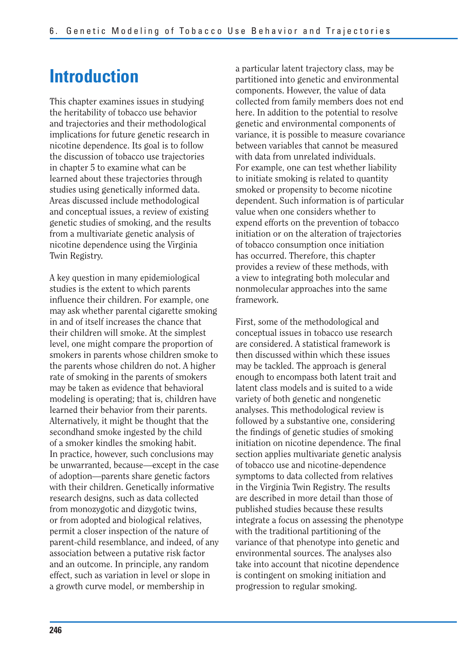# **Introduction**

This chapter examines issues in studying the heritability of tobacco use behavior and trajectories and their methodological implications for future genetic research in nicotine dependence. Its goal is to follow the discussion of tobacco use trajectories in chapter 5 to examine what can be learned about these trajectories through studies using genetically informed data. Areas discussed include methodological and conceptual issues, a review of existing genetic studies of smoking, and the results from a multivariate genetic analysis of nicotine dependence using the Virginia Twin Registry.

A key question in many epidemiological studies is the extent to which parents influence their children. For example, one may ask whether parental cigarette smoking in and of itself increases the chance that their children will smoke. At the simplest level, one might compare the proportion of smokers in parents whose children smoke to the parents whose children do not. A higher rate of smoking in the parents of smokers may be taken as evidence that behavioral modeling is operating; that is, children have learned their behavior from their parents. Alternatively, it might be thought that the secondhand smoke ingested by the child of a smoker kindles the smoking habit. In practice, however, such conclusions may be unwarranted, because—except in the case of adoption—parents share genetic factors with their children. Genetically informative research designs, such as data collected from monozygotic and dizygotic twins, or from adopted and biological relatives, permit a closer inspection of the nature of parent-child resemblance, and indeed, of any association between a putative risk factor and an outcome. In principle, any random effect, such as variation in level or slope in a growth curve model, or membership in

a particular latent trajectory class, may be partitioned into genetic and environmental components. However, the value of data collected from family members does not end here. In addition to the potential to resolve genetic and environmental components of variance, it is possible to measure covariance between variables that cannot be measured with data from unrelated individuals. For example, one can test whether liability to initiate smoking is related to quantity smoked or propensity to become nicotine dependent. Such information is of particular value when one considers whether to expend efforts on the prevention of tobacco initiation or on the alteration of trajectories of tobacco consumption once initiation has occurred. Therefore, this chapter provides a review of these methods, with a view to integrating both molecular and nonmolecular approaches into the same framework.

First, some of the methodological and conceptual issues in tobacco use research are considered. A statistical framework is then discussed within which these issues may be tackled. The approach is general enough to encompass both latent trait and latent class models and is suited to a wide variety of both genetic and nongenetic analyses. This methodological review is followed by a substantive one, considering the findings of genetic studies of smoking initiation on nicotine dependence. The final section applies multivariate genetic analysis of tobacco use and nicotine-dependence symptoms to data collected from relatives in the Virginia Twin Registry. The results are described in more detail than those of published studies because these results integrate a focus on assessing the phenotype with the traditional partitioning of the variance of that phenotype into genetic and environmental sources. The analyses also take into account that nicotine dependence is contingent on smoking initiation and progression to regular smoking.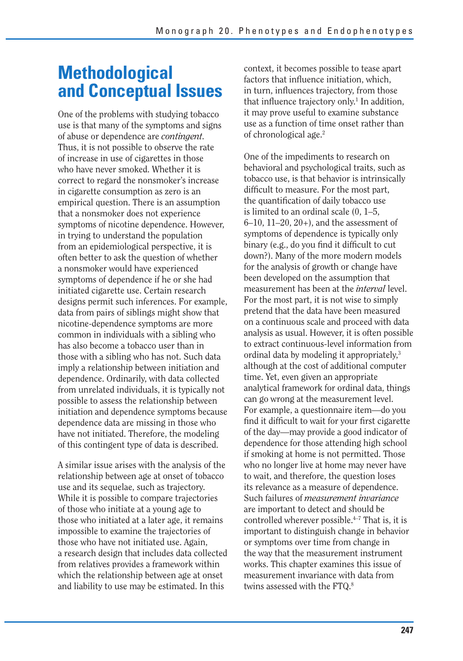## **Methodological and Conceptual Issues**

One of the problems with studying tobacco use is that many of the symptoms and signs of abuse or dependence are *contingent.*  Thus, it is not possible to observe the rate of increase in use of cigarettes in those who have never smoked. Whether it is correct to regard the nonsmoker's increase in cigarette consumption as zero is an empirical question. There is an assumption that a nonsmoker does not experience symptoms of nicotine dependence. However, in trying to understand the population from an epidemiological perspective, it is often better to ask the question of whether a nonsmoker would have experienced symptoms of dependence if he or she had initiated cigarette use. Certain research designs permit such inferences. For example, data from pairs of siblings might show that nicotine-dependence symptoms are more common in individuals with a sibling who has also become a tobacco user than in those with a sibling who has not. Such data imply a relationship between initiation and dependence. Ordinarily, with data collected from unrelated individuals, it is typically not possible to assess the relationship between initiation and dependence symptoms because dependence data are missing in those who have not initiated. Therefore, the modeling of this contingent type of data is described.

A similar issue arises with the analysis of the relationship between age at onset of tobacco use and its sequelae, such as trajectory. While it is possible to compare trajectories of those who initiate at a young age to those who initiated at a later age, it remains impossible to examine the trajectories of those who have not initiated use. Again, a research design that includes data collected from relatives provides a framework within which the relationship between age at onset and liability to use may be estimated. In this

context, it becomes possible to tease apart factors that influence initiation, which, in turn, influences trajectory, from those that influence trajectory only.<sup>1</sup> In addition, it may prove useful to examine substance use as a function of time onset rather than of chronological age.2

find it difficult to wait for your first cigarette One of the impediments to research on behavioral and psychological traits, such as tobacco use, is that behavior is intrinsically difficult to measure. For the most part, the quantification of daily tobacco use is limited to an ordinal scale (0, 1–5,  $6-10$ ,  $11-20$ ,  $20+$ ), and the assessment of symptoms of dependence is typically only binary (e.g., do you find it difficult to cut down?). Many of the more modern models for the analysis of growth or change have been developed on the assumption that measurement has been at the *interval* level. For the most part, it is not wise to simply pretend that the data have been measured on a continuous scale and proceed with data analysis as usual. However, it is often possible to extract continuous-level information from ordinal data by modeling it appropriately,3 although at the cost of additional computer time. Yet, even given an appropriate analytical framework for ordinal data, things can go wrong at the measurement level. For example, a questionnaire item—do you of the day—may provide a good indicator of dependence for those attending high school if smoking at home is not permitted. Those who no longer live at home may never have to wait, and therefore, the question loses its relevance as a measure of dependence. Such failures of *measurement invariance*  are important to detect and should be controlled wherever possible.<sup>4-7</sup> That is, it is important to distinguish change in behavior or symptoms over time from change in the way that the measurement instrument works. This chapter examines this issue of measurement invariance with data from twins assessed with the FTQ.<sup>8</sup>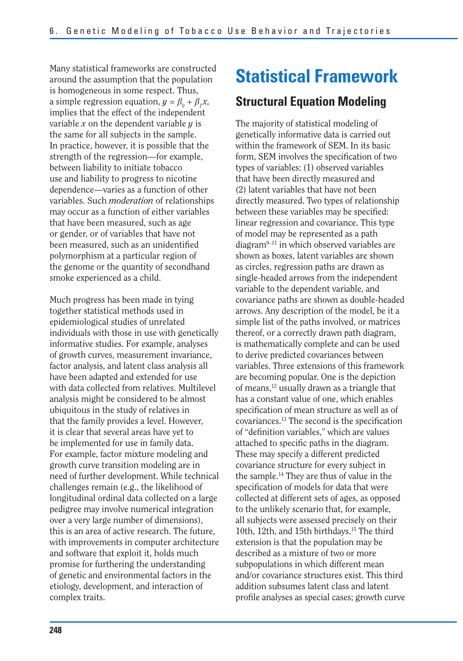Many statistical frameworks are constructed around the assumption that the population is homogeneous in some respect. Thus, a simple regression equation,  $y = \beta_0 + \beta_1 x$ , implies that the effect of the independent variable *x* on the dependent variable *y* is the same for all subjects in the sample. In practice, however, it is possible that the strength of the regression—for example, between liability to initiate tobacco use and liability to progress to nicotine dependence—varies as a function of other variables. Such *moderation* of relationships may occur as a function of either variables that have been measured, such as age or gender, or of variables that have not been measured, such as an unidentified polymorphism at a particular region of the genome or the quantity of secondhand smoke experienced as a child.

Much progress has been made in tying together statistical methods used in epidemiological studies of unrelated individuals with those in use with genetically informative studies. For example, analyses of growth curves, measurement invariance, factor analysis, and latent class analysis all have been adapted and extended for use with data collected from relatives. Multilevel analysis might be considered to be almost ubiquitous in the study of relatives in that the family provides a level. However, it is clear that several areas have yet to be implemented for use in family data. For example, factor mixture modeling and growth curve transition modeling are in need of further development. While technical challenges remain (e.g., the likelihood of longitudinal ordinal data collected on a large pedigree may involve numerical integration over a very large number of dimensions), this is an area of active research. The future, with improvements in computer architecture and software that exploit it, holds much promise for furthering the understanding of genetic and environmental factors in the etiology, development, and interaction of complex traits.

# **Statistical Framework**

#### **Structural Equation Modeling**

The majority of statistical modeling of genetically informative data is carried out within the framework of SEM. In its basic form, SEM involves the specification of two types of variables: (1) observed variables that have been directly measured and (2) latent variables that have not been directly measured. Two types of relationship between these variables may be specified: linear regression and covariance. This type of model may be represented as a path diagram9–11 in which observed variables are shown as boxes, latent variables are shown as circles, regression paths are drawn as single-headed arrows from the independent variable to the dependent variable, and covariance paths are shown as double-headed arrows. Any description of the model, be it a simple list of the paths involved, or matrices thereof, or a correctly drawn path diagram, is mathematically complete and can be used to derive predicted covariances between variables. Three extensions of this framework are becoming popular. One is the depiction of means,<sup>12</sup> usually drawn as a triangle that has a constant value of one, which enables specification of mean structure as well as of  $covariances.<sup>13</sup>$  The second is the specification of "definition variables," which are values attached to specific paths in the diagram. These may specify a different predicted covariance structure for every subject in the sample.14 They are thus of value in the specification of models for data that were collected at different sets of ages, as opposed to the unlikely scenario that, for example, all subjects were assessed precisely on their 10th, 12th, and 15th birthdays.15 The third extension is that the population may be described as a mixture of two or more subpopulations in which different mean and/or covariance structures exist. This third addition subsumes latent class and latent profile analyses as special cases; growth curve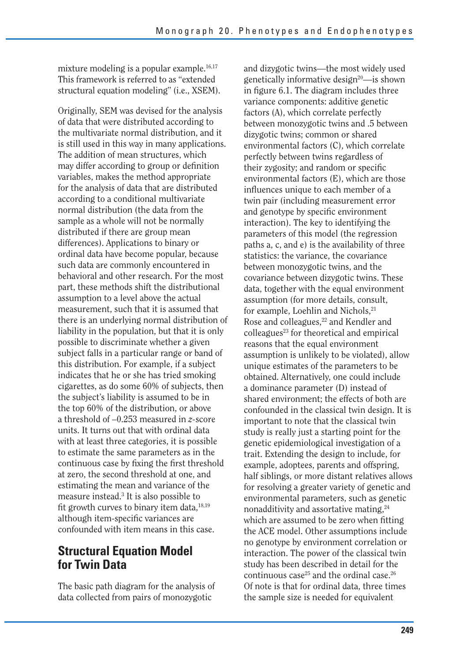mixture modeling is a popular example.<sup>16,17</sup> This framework is referred to as "extended structural equation modeling" (i.e., XSEM).

Originally, SEM was devised for the analysis of data that were distributed according to the multivariate normal distribution, and it is still used in this way in many applications. The addition of mean structures, which may differ according to group or definition variables, makes the method appropriate for the analysis of data that are distributed according to a conditional multivariate normal distribution (the data from the sample as a whole will not be normally distributed if there are group mean differences). Applications to binary or ordinal data have become popular, because such data are commonly encountered in behavioral and other research. For the most part, these methods shift the distributional assumption to a level above the actual measurement, such that it is assumed that there is an underlying normal distribution of liability in the population, but that it is only possible to discriminate whether a given subject falls in a particular range or band of this distribution. For example, if a subject indicates that he or she has tried smoking cigarettes, as do some 60% of subjects, then the subject's liability is assumed to be in the top 60% of the distribution, or above a threshold of –0.253 measured in *z-*score units. It turns out that with ordinal data with at least three categories, it is possible to estimate the same parameters as in the continuous case by fixing the first threshold at zero, the second threshold at one, and estimating the mean and variance of the measure instead.3 It is also possible to fit growth curves to binary item data, $18,19$ although item-specific variances are confounded with item means in this case.

#### **Structural Equation Model for Twin Data**

The basic path diagram for the analysis of data collected from pairs of monozygotic

and dizygotic twins—the most widely used genetically informative design<sup>20</sup>—is shown in figure 6.1. The diagram includes three variance components: additive genetic factors (A), which correlate perfectly between monozygotic twins and .5 between dizygotic twins; common or shared environmental factors (C), which correlate perfectly between twins regardless of their zygosity; and random or specific environmental factors (E), which are those influences unique to each member of a twin pair (including measurement error and genotype by specific environment interaction). The key to identifying the parameters of this model (the regression paths a, c, and e) is the availability of three statistics: the variance, the covariance between monozygotic twins, and the covariance between dizygotic twins. These data, together with the equal environment assumption (for more details, consult, for example, Loehlin and Nichols,<sup>21</sup> Rose and colleagues,<sup>22</sup> and Kendler and  $\text{colle}$ agues<sup>23</sup> for theoretical and empirical reasons that the equal environment assumption is unlikely to be violated), allow unique estimates of the parameters to be obtained. Alternatively, one could include a dominance parameter (D) instead of shared environment; the effects of both are confounded in the classical twin design. It is important to note that the classical twin study is really just a starting point for the genetic epidemiological investigation of a trait. Extending the design to include, for example, adoptees, parents and offspring, half siblings, or more distant relatives allows for resolving a greater variety of genetic and environmental parameters, such as genetic nonadditivity and assortative mating,<sup>24</sup> which are assumed to be zero when fitting the ACE model. Other assumptions include no genotype by environment correlation or interaction. The power of the classical twin study has been described in detail for the continuous case<sup>25</sup> and the ordinal case.<sup>26</sup> Of note is that for ordinal data, three times the sample size is needed for equivalent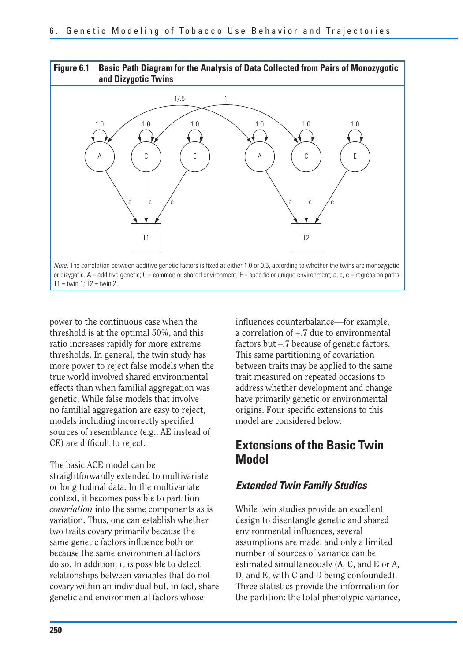

power to the continuous case when the threshold is at the optimal 50%, and this ratio increases rapidly for more extreme thresholds. In general, the twin study has more power to reject false models when the true world involved shared environmental effects than when familial aggregation was genetic. While false models that involve no familial aggregation are easy to reject, models including incorrectly specified sources of resemblance (e.g., AE instead of CE) are difficult to reject.

The basic ACE model can be straightforwardly extended to multivariate or longitudinal data. In the multivariate context, it becomes possible to partition *covariation* into the same components as is variation. Thus, one can establish whether two traits covary primarily because the same genetic factors influence both or because the same environmental factors do so. In addition, it is possible to detect relationships between variables that do not covary within an individual but, in fact, share genetic and environmental factors whose

influences counterbalance—for example, a correlation of +.7 due to environmental factors but –.7 because of genetic factors. This same partitioning of covariation between traits may be applied to the same trait measured on repeated occasions to address whether development and change have primarily genetic or environmental origins. Four specific extensions to this model are considered below.

#### **Extensions of the Basic Twin Model**

#### *Extended Twin Family Studies*

While twin studies provide an excellent design to disentangle genetic and shared environmental influences, several assumptions are made, and only a limited number of sources of variance can be estimated simultaneously (A, C, and E or A, D, and E, with C and D being confounded). Three statistics provide the information for the partition: the total phenotypic variance,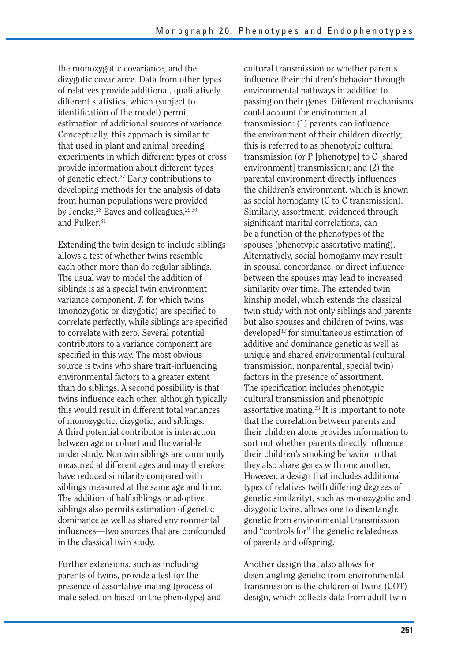the monozygotic covariance, and the dizygotic covariance. Data from other types of relatives provide additional, qualitatively different statistics, which (subject to identification of the model) permit estimation of additional sources of variance. Conceptually, this approach is similar to that used in plant and animal breeding experiments in which different types of cross provide information about different types of genetic effect.27 Early contributions to developing methods for the analysis of data from human populations were provided by Jencks,<sup>28</sup> Eaves and colleagues,<sup>29,30</sup> and Fulker.<sup>31</sup>

Extending the twin design to include siblings allows a test of whether twins resemble each other more than do regular siblings. The usual way to model the addition of siblings is as a special twin environment variance component, *T,* for which twins (monozygotic or dizygotic) are specified to correlate perfectly, while siblings are specified to correlate with zero. Several potential contributors to a variance component are specified in this way. The most obvious source is twins who share trait-influencing environmental factors to a greater extent than do siblings. A second possibility is that twins influence each other, although typically this would result in different total variances of monozygotic, dizygotic, and siblings. A third potential contributor is interaction between age or cohort and the variable under study. Nontwin siblings are commonly measured at different ages and may therefore have reduced similarity compared with siblings measured at the same age and time. The addition of half siblings or adoptive siblings also permits estimation of genetic dominance as well as shared environmental influences—two sources that are confounded in the classical twin study.

Further extensions, such as including parents of twins, provide a test for the presence of assortative mating (process of mate selection based on the phenotype) and cultural transmission or whether parents influence their children's behavior through environmental pathways in addition to passing on their genes. Different mechanisms could account for environmental transmission: (1) parents can influence the environment of their children directly; this is referred to as phenotypic cultural transmission (or P [phenotype] to C [shared environment] transmission); and (2) the parental environment directly influences the children's environment, which is known as social homogamy (C to C transmission). Similarly, assortment, evidenced through significant marital correlations, can be a function of the phenotypes of the spouses (phenotypic assortative mating). Alternatively, social homogamy may result in spousal concordance, or direct influence between the spouses may lead to increased similarity over time. The extended twin kinship model, which extends the classical twin study with not only siblings and parents but also spouses and children of twins, was developed32 for simultaneous estimation of additive and dominance genetic as well as unique and shared environmental (cultural transmission, nonparental, special twin) factors in the presence of assortment. The specification includes phenotypic cultural transmission and phenotypic assortative mating.33 It is important to note that the correlation between parents and their children alone provides information to sort out whether parents directly influence their children's smoking behavior in that they also share genes with one another. However, a design that includes additional types of relatives (with differing degrees of genetic similarity), such as monozygotic and dizygotic twins, allows one to disentangle genetic from environmental transmission and "controls for" the genetic relatedness of parents and offspring.

Another design that also allows for disentangling genetic from environmental transmission is the children of twins (COT) design, which collects data from adult twin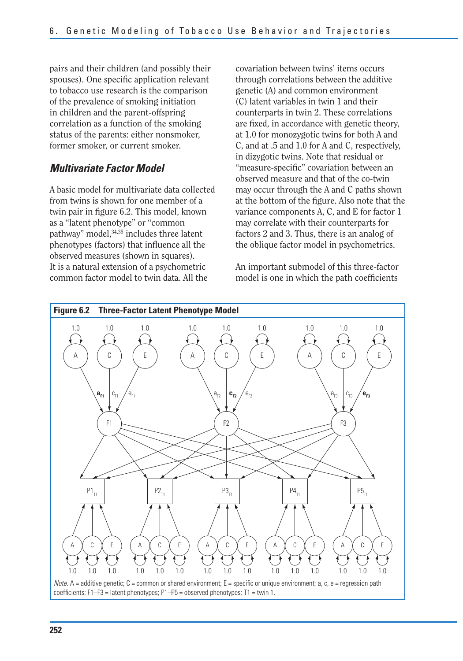pairs and their children (and possibly their spouses). One specific application relevant to tobacco use research is the comparison of the prevalence of smoking initiation in children and the parent-offspring correlation as a function of the smoking status of the parents: either nonsmoker, former smoker, or current smoker.

#### *Multivariate Factor Model*

A basic model for multivariate data collected from twins is shown for one member of a twin pair in figure 6.2. This model, known as a "latent phenotype" or "common pathway" model, 34,35 includes three latent phenotypes (factors) that influence all the observed measures (shown in squares). It is a natural extension of a psychometric common factor model to twin data. All the

covariation between twins' items occurs through correlations between the additive genetic (A) and common environment (C) latent variables in twin 1 and their counterparts in twin 2. These correlations are fixed, in accordance with genetic theory, at 1.0 for monozygotic twins for both A and C, and at .5 and 1.0 for A and C, respectively, in dizygotic twins. Note that residual or "measure-specific" covariation between an observed measure and that of the co-twin may occur through the A and C paths shown at the bottom of the figure. Also note that the variance components A, C, and E for factor 1 may correlate with their counterparts for factors 2 and 3. Thus, there is an analog of the oblique factor model in psychometrics.

An important submodel of this three-factor model is one in which the path coefficients

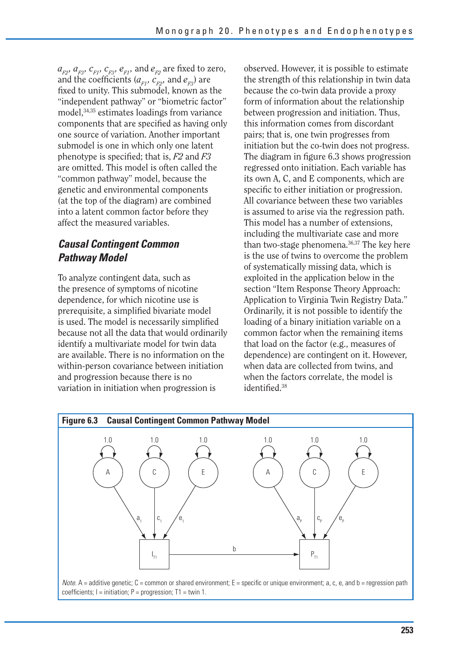$a_{F2}, a_{F3}, c_{F1}, c_{F3}, e_{F1}$ , and  $e_{F2}$  are fixed to zero, and the coefficients  $(a_{F1}, c_{F2}, \text{ and } e_{F3})$  are fixed to unity. This submodel, known as the "independent pathway" or "biometric factor" model,34,35 estimates loadings from variance components that are specified as having only one source of variation. Another important submodel is one in which only one latent phenotype is specified; that is, *F2* and *F3*  are omitted. This model is often called the "common pathway" model, because the genetic and environmental components (at the top of the diagram) are combined into a latent common factor before they affect the measured variables.

#### *Causal Contingent Common Pathway Model*

To analyze contingent data, such as the presence of symptoms of nicotine dependence, for which nicotine use is prerequisite, a simplified bivariate model is used. The model is necessarily simplified because not all the data that would ordinarily identify a multivariate model for twin data are available. There is no information on the within-person covariance between initiation and progression because there is no variation in initiation when progression is

observed. However, it is possible to estimate the strength of this relationship in twin data because the co-twin data provide a proxy form of information about the relationship between progression and initiation. Thus, this information comes from discordant pairs; that is, one twin progresses from initiation but the co-twin does not progress. The diagram in figure 6.3 shows progression regressed onto initiation. Each variable has its own A, C, and E components, which are specific to either initiation or progression. All covariance between these two variables is assumed to arise via the regression path. This model has a number of extensions, including the multivariate case and more than two-stage phenomena.36,37 The key here is the use of twins to overcome the problem of systematically missing data, which is exploited in the application below in the section "Item Response Theory Approach: Application to Virginia Twin Registry Data." Ordinarily, it is not possible to identify the loading of a binary initiation variable on a common factor when the remaining items that load on the factor (e.g., measures of dependence) are contingent on it. However, when data are collected from twins, and when the factors correlate, the model is identified.<sup>38</sup>



Note. A = additive genetic;  $C$  = common or shared environment;  $E$  = specific or unique environment; a, c, e, and b = regression path coefficients;  $I =$  initiation;  $P =$  progression;  $T1 =$  twin 1.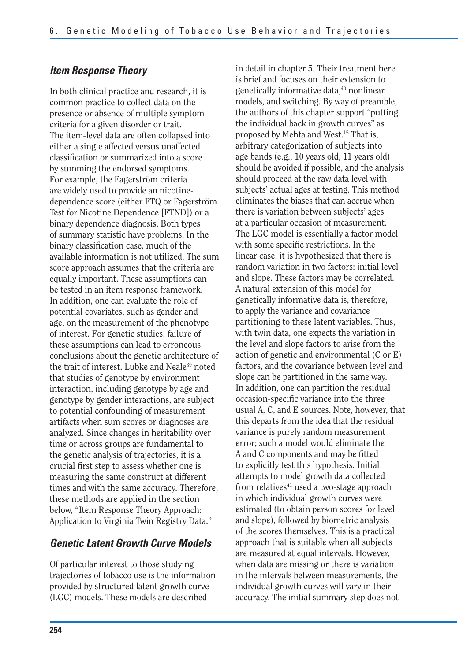#### *Item Response Theory*

In both clinical practice and research, it is common practice to collect data on the presence or absence of multiple symptom criteria for a given disorder or trait. The item-level data are often collapsed into either a single affected versus unaffected classification or summarized into a score by summing the endorsed symptoms. For example, the Fagerström criteria are widely used to provide an nicotinedependence score (either FTQ or Fagerström Test for Nicotine Dependence [FTND]) or a binary dependence diagnosis. Both types of summary statistic have problems. In the binary classification case, much of the available information is not utilized. The sum score approach assumes that the criteria are equally important. These assumptions can be tested in an item response framework. In addition, one can evaluate the role of potential covariates, such as gender and age, on the measurement of the phenotype of interest. For genetic studies, failure of these assumptions can lead to erroneous conclusions about the genetic architecture of the trait of interest. Lubke and Neale<sup>39</sup> noted that studies of genotype by environment interaction, including genotype by age and genotype by gender interactions, are subject to potential confounding of measurement artifacts when sum scores or diagnoses are analyzed. Since changes in heritability over time or across groups are fundamental to the genetic analysis of trajectories, it is a crucial first step to assess whether one is measuring the same construct at different times and with the same accuracy. Therefore, these methods are applied in the section below, "Item Response Theory Approach: Application to Virginia Twin Registry Data."

#### *Genetic Latent Growth Curve Models*

Of particular interest to those studying trajectories of tobacco use is the information provided by structured latent growth curve (LGC) models. These models are described

in detail in chapter 5. Their treatment here is brief and focuses on their extension to genetically informative data,<sup>40</sup> nonlinear models, and switching. By way of preamble, the authors of this chapter support "putting the individual back in growth curves" as proposed by Mehta and West.15 That is, arbitrary categorization of subjects into age bands (e.g., 10 years old, 11 years old) should be avoided if possible, and the analysis should proceed at the raw data level with subjects' actual ages at testing. This method eliminates the biases that can accrue when there is variation between subjects' ages at a particular occasion of measurement. The LGC model is essentially a factor model with some specific restrictions. In the linear case, it is hypothesized that there is random variation in two factors: initial level and slope. These factors may be correlated. A natural extension of this model for genetically informative data is, therefore, to apply the variance and covariance partitioning to these latent variables. Thus, with twin data, one expects the variation in the level and slope factors to arise from the action of genetic and environmental (C or E) factors, and the covariance between level and slope can be partitioned in the same way. In addition, one can partition the residual occasion-specific variance into the three usual A, C, and E sources. Note, however, that this departs from the idea that the residual variance is purely random measurement error; such a model would eliminate the A and C components and may be fitted to explicitly test this hypothesis. Initial attempts to model growth data collected from relatives $41$  used a two-stage approach in which individual growth curves were estimated (to obtain person scores for level and slope), followed by biometric analysis of the scores themselves. This is a practical approach that is suitable when all subjects are measured at equal intervals. However, when data are missing or there is variation in the intervals between measurements, the individual growth curves will vary in their accuracy. The initial summary step does not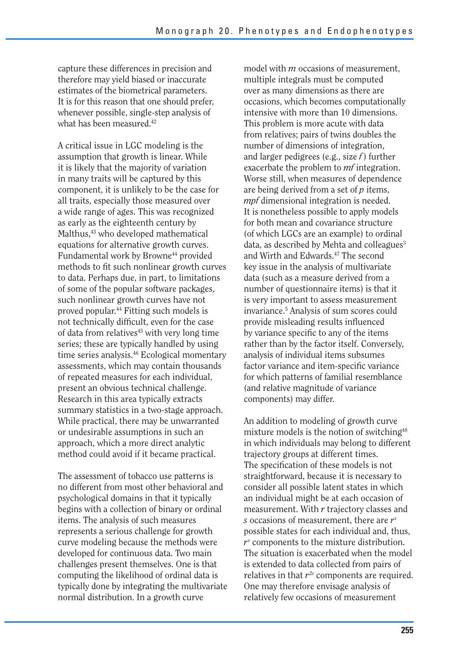capture these differences in precision and therefore may yield biased or inaccurate estimates of the biometrical parameters. It is for this reason that one should prefer, whenever possible, single-step analysis of what has been measured.<sup>42</sup>

A critical issue in LGC modeling is the assumption that growth is linear. While it is likely that the majority of variation in many traits will be captured by this component, it is unlikely to be the case for all traits, especially those measured over a wide range of ages. This was recognized as early as the eighteenth century by Malthus,<sup>43</sup> who developed mathematical equations for alternative growth curves. Fundamental work by Browne<sup>44</sup> provided methods to fit such nonlinear growth curves to data. Perhaps due, in part, to limitations of some of the popular software packages, such nonlinear growth curves have not proved popular.44 Fitting such models is not technically difficult, even for the case of data from relatives45 with very long time series; these are typically handled by using time series analysis.46 Ecological momentary assessments, which may contain thousands of repeated measures for each individual, present an obvious technical challenge. Research in this area typically extracts summary statistics in a two-stage approach. While practical, there may be unwarranted or undesirable assumptions in such an approach, which a more direct analytic method could avoid if it became practical.

The assessment of tobacco use patterns is no different from most other behavioral and psychological domains in that it typically begins with a collection of binary or ordinal items. The analysis of such measures represents a serious challenge for growth curve modeling because the methods were developed for continuous data. Two main challenges present themselves. One is that computing the likelihood of ordinal data is typically done by integrating the multivariate normal distribution. In a growth curve

model with *m* occasions of measurement, multiple integrals must be computed over as many dimensions as there are occasions, which becomes computationally intensive with more than 10 dimensions. This problem is more acute with data from relatives; pairs of twins doubles the number of dimensions of integration, and larger pedigrees (e.g., size *f* ) further exacerbate the problem to *mf* integration. Worse still, when measures of dependence are being derived from a set of *p* items, *mpf* dimensional integration is needed. It is nonetheless possible to apply models for both mean and covariance structure (of which LGCs are an example) to ordinal data, as described by Mehta and colleagues $3$ and Wirth and Edwards.47 The second key issue in the analysis of multivariate data (such as a measure derived from a number of questionnaire items) is that it is very important to assess measurement invariance.5 Analysis of sum scores could provide misleading results influenced by variance specific to any of the items rather than by the factor itself. Conversely, analysis of individual items subsumes factor variance and item-specific variance for which patterns of familial resemblance (and relative magnitude of variance components) may differ.

An addition to modeling of growth curve mixture models is the notion of switching<sup>48</sup> in which individuals may belong to different trajectory groups at different times. The specification of these models is not straightforward, because it is necessary to consider all possible latent states in which an individual might be at each occasion of measurement. With *r* trajectory classes and *s* occasions of measurement, there are *rs*  possible states for each individual and, thus, *rs* components to the mixture distribution. The situation is exacerbated when the model is extended to data collected from pairs of relatives in that *r2s* components are required. One may therefore envisage analysis of relatively few occasions of measurement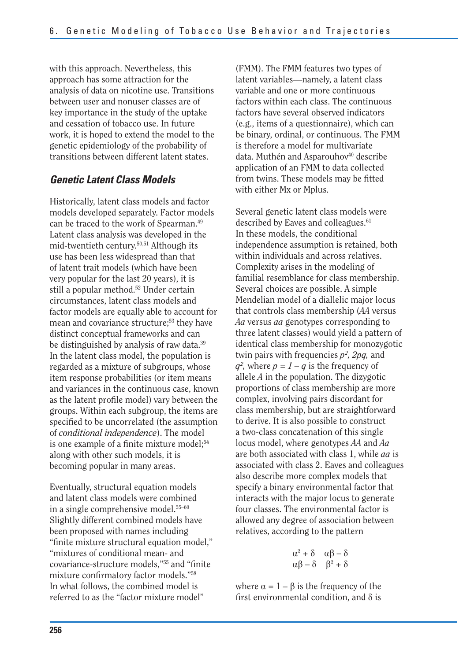with this approach. Nevertheless, this approach has some attraction for the analysis of data on nicotine use. Transitions between user and nonuser classes are of key importance in the study of the uptake and cessation of tobacco use. In future work, it is hoped to extend the model to the genetic epidemiology of the probability of transitions between different latent states.

#### *Genetic Latent Class Models*

Historically, latent class models and factor models developed separately. Factor models can be traced to the work of Spearman.49 Latent class analysis was developed in the mid-twentieth century.50,51 Although its use has been less widespread than that of latent trait models (which have been very popular for the last 20 years), it is still a popular method.<sup>52</sup> Under certain circumstances, latent class models and factor models are equally able to account for mean and covariance structure;<sup>53</sup> they have distinct conceptual frameworks and can be distinguished by analysis of raw data.<sup>39</sup> In the latent class model, the population is regarded as a mixture of subgroups, whose item response probabilities (or item means and variances in the continuous case, known as the latent profile model) vary between the groups. Within each subgroup, the items are specified to be uncorrelated (the assumption of *conditional independence*). The model is one example of a finite mixture model;<sup>54</sup> along with other such models, it is becoming popular in many areas.

Eventually, structural equation models and latent class models were combined in a single comprehensive model.55–60 Slightly different combined models have been proposed with names including "finite mixture structural equation model," "mixtures of conditional mean- and covariance-structure models,"<sup>55</sup> and "finite mixture confirmatory factor models."58 In what follows, the combined model is referred to as the "factor mixture model"

(FMM). The FMM features two types of latent variables—namely, a latent class variable and one or more continuous factors within each class. The continuous factors have several observed indicators (e.g., items of a questionnaire), which can be binary, ordinal, or continuous. The FMM is therefore a model for multivariate data. Muthén and Asparouhov<sup>40</sup> describe application of an FMM to data collected from twins. These models may be fitted with either Mx or Mplus.

Several genetic latent class models were described by Eaves and colleagues.<sup>61</sup> In these models, the conditional independence assumption is retained, both within individuals and across relatives. Complexity arises in the modeling of familial resemblance for class membership. Several choices are possible. A simple Mendelian model of a diallelic major locus that controls class membership (*AA* versus *Aa* versus *aa* genotypes corresponding to three latent classes) would yield a pattern of identical class membership for monozygotic twin pairs with frequencies  $p^2$ , 2pq, and  $q^2$ , where  $p = 1 - q$  is the frequency of allele *A* in the population. The dizygotic proportions of class membership are more complex, involving pairs discordant for class membership, but are straightforward to derive. It is also possible to construct a two-class concatenation of this single locus model, where genotypes *AA* and *Aa*  are both associated with class 1, while *aa* is associated with class 2. Eaves and colleagues also describe more complex models that specify a binary environmental factor that interacts with the major locus to generate four classes. The environmental factor is allowed any degree of association between relatives, according to the pattern

$$
\begin{array}{cc}\n\alpha^2 + \delta & \alpha\beta - \delta \\
\alpha\beta - \delta & \beta^2 + \delta\n\end{array}
$$

where  $\alpha = 1 - \beta$  is the frequency of the first environmental condition, and  $\delta$  is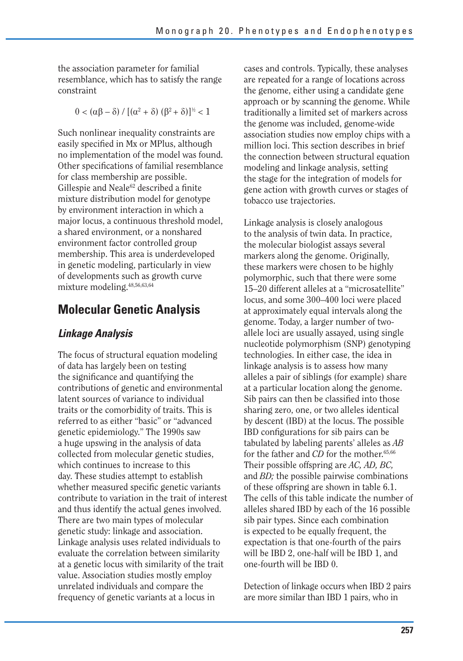the association parameter for familial resemblance, which has to satisfy the range constraint

 $0 < (\alpha \beta - \delta) / [(\alpha^2 + \delta) (\beta^2 + \delta)]^{1/2} < 1$ 

Such nonlinear inequality constraints are easily specified in Mx or MPlus, although no implementation of the model was found. Other specifications of familial resemblance for class membership are possible. Gillespie and Neale<sup>62</sup> described a finite mixture distribution model for genotype by environment interaction in which a major locus, a continuous threshold model, a shared environment, or a nonshared environment factor controlled group membership. This area is underdeveloped in genetic modeling, particularly in view of developments such as growth curve mixture modeling.48,56,63,64

#### **Molecular Genetic Analysis**

#### *Linkage Analysis*

The focus of structural equation modeling of data has largely been on testing the significance and quantifying the contributions of genetic and environmental latent sources of variance to individual traits or the comorbidity of traits. This is referred to as either "basic" or "advanced genetic epidemiology." The 1990s saw a huge upswing in the analysis of data collected from molecular genetic studies, which continues to increase to this day. These studies attempt to establish whether measured specific genetic variants contribute to variation in the trait of interest and thus identify the actual genes involved. There are two main types of molecular genetic study: linkage and association. Linkage analysis uses related individuals to evaluate the correlation between similarity at a genetic locus with similarity of the trait value. Association studies mostly employ unrelated individuals and compare the frequency of genetic variants at a locus in

cases and controls. Typically, these analyses are repeated for a range of locations across the genome, either using a candidate gene approach or by scanning the genome. While traditionally a limited set of markers across the genome was included, genome-wide association studies now employ chips with a million loci. This section describes in brief the connection between structural equation modeling and linkage analysis, setting the stage for the integration of models for gene action with growth curves or stages of tobacco use trajectories.

Linkage analysis is closely analogous to the analysis of twin data. In practice, the molecular biologist assays several markers along the genome. Originally, these markers were chosen to be highly polymorphic, such that there were some 15–20 different alleles at a "microsatellite" locus, and some 300–400 loci were placed at approximately equal intervals along the genome. Today, a larger number of twoallele loci are usually assayed, using single nucleotide polymorphism (SNP) genotyping technologies. In either case, the idea in linkage analysis is to assess how many alleles a pair of siblings (for example) share at a particular location along the genome. Sib pairs can then be classified into those sharing zero, one, or two alleles identical by descent (IBD) at the locus. The possible IBD configurations for sib pairs can be tabulated by labeling parents' alleles as *AB*  for the father and *CD* for the mother.<sup>65,66</sup> Their possible offspring are *AC, AD, BC,*  and *BD;* the possible pairwise combinations of these offspring are shown in table 6.1. The cells of this table indicate the number of alleles shared IBD by each of the 16 possible sib pair types. Since each combination is expected to be equally frequent, the expectation is that one-fourth of the pairs will be IBD 2, one-half will be IBD 1, and one-fourth will be IBD 0.

Detection of linkage occurs when IBD 2 pairs are more similar than IBD 1 pairs, who in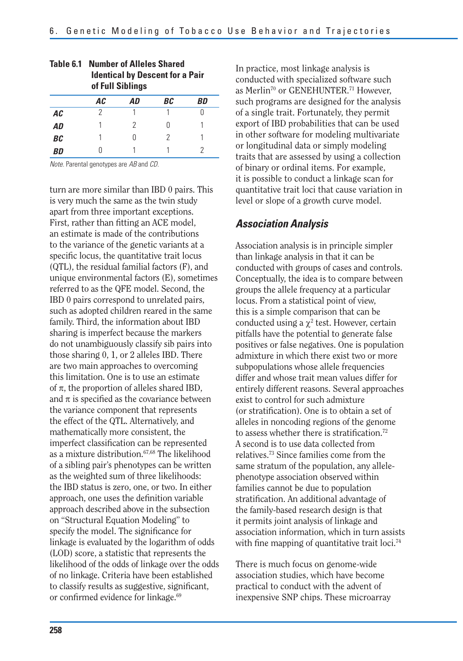|           | uivu viiulvu<br><b>Identical by Descent for a Pair</b><br>of Full Siblings |    |    |    |  |  |  |  |  |
|-----------|----------------------------------------------------------------------------|----|----|----|--|--|--|--|--|
|           | AC                                                                         | AD | ВC | BD |  |  |  |  |  |
| AC        | 2                                                                          |    |    |    |  |  |  |  |  |
| AD        |                                                                            | 2  |    |    |  |  |  |  |  |
| <b>BC</b> |                                                                            |    | 2  |    |  |  |  |  |  |
| BD        |                                                                            |    |    |    |  |  |  |  |  |

# **Table 6.1 Number of Alleles Shared**

Note. Parental genotypes are AB and CD.

turn are more similar than IBD 0 pairs. This is very much the same as the twin study apart from three important exceptions. First, rather than fitting an ACE model, an estimate is made of the contributions to the variance of the genetic variants at a specific locus, the quantitative trait locus (QTL), the residual familial factors (F), and unique environmental factors (E), sometimes referred to as the QFE model. Second, the IBD 0 pairs correspond to unrelated pairs, such as adopted children reared in the same family. Third, the information about IBD sharing is imperfect because the markers do not unambiguously classify sib pairs into those sharing 0, 1, or 2 alleles IBD. There are two main approaches to overcoming this limitation. One is to use an estimate of  $\pi$ , the proportion of alleles shared IBD, and  $\pi$  is specified as the covariance between the variance component that represents the effect of the QTL. Alternatively, and mathematically more consistent, the imperfect classification can be represented as a mixture distribution.67,68 The likelihood of a sibling pair's phenotypes can be written as the weighted sum of three likelihoods: the IBD status is zero, one, or two. In either approach, one uses the definition variable approach described above in the subsection on "Structural Equation Modeling" to specify the model. The significance for linkage is evaluated by the logarithm of odds (LOD) score, a statistic that represents the likelihood of the odds of linkage over the odds of no linkage. Criteria have been established to classify results as suggestive, significant, or confirmed evidence for linkage.<sup>69</sup>

In practice, most linkage analysis is conducted with specialized software such as Merlin<sup>70</sup> or GENEHUNTER.<sup>71</sup> However, such programs are designed for the analysis of a single trait. Fortunately, they permit export of IBD probabilities that can be used in other software for modeling multivariate or longitudinal data or simply modeling traits that are assessed by using a collection of binary or ordinal items. For example, it is possible to conduct a linkage scan for quantitative trait loci that cause variation in level or slope of a growth curve model.

#### *Association Analysis*

Association analysis is in principle simpler than linkage analysis in that it can be conducted with groups of cases and controls. Conceptually, the idea is to compare between groups the allele frequency at a particular locus. From a statistical point of view, this is a simple comparison that can be conducted using a  $\chi^2$  test. However, certain pitfalls have the potential to generate false positives or false negatives. One is population admixture in which there exist two or more subpopulations whose allele frequencies differ and whose trait mean values differ for entirely different reasons. Several approaches exist to control for such admixture (or stratification). One is to obtain a set of alleles in noncoding regions of the genome to assess whether there is stratification.<sup>72</sup> A second is to use data collected from relatives.73 Since families come from the same stratum of the population, any allelephenotype association observed within families cannot be due to population stratification. An additional advantage of the family-based research design is that it permits joint analysis of linkage and association information, which in turn assists with fine mapping of quantitative trait loci.<sup>74</sup>

There is much focus on genome-wide association studies, which have become practical to conduct with the advent of inexpensive SNP chips. These microarray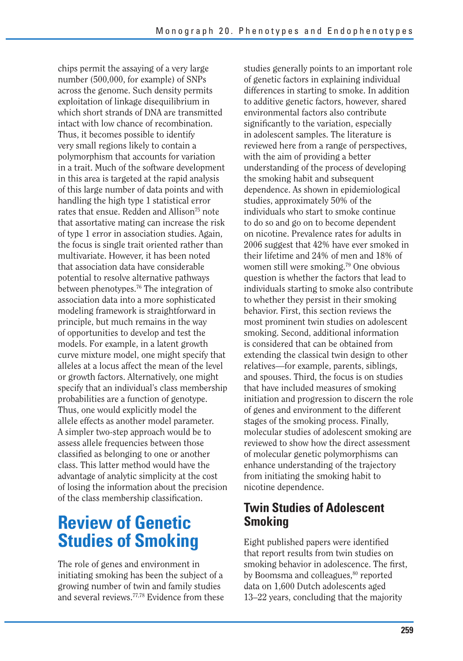chips permit the assaying of a very large number (500,000, for example) of SNPs across the genome. Such density permits exploitation of linkage disequilibrium in which short strands of DNA are transmitted intact with low chance of recombination. Thus, it becomes possible to identify very small regions likely to contain a polymorphism that accounts for variation in a trait. Much of the software development in this area is targeted at the rapid analysis of this large number of data points and with handling the high type 1 statistical error rates that ensue. Redden and Allison<sup>75</sup> note that assortative mating can increase the risk of type 1 error in association studies. Again, the focus is single trait oriented rather than multivariate. However, it has been noted that association data have considerable potential to resolve alternative pathways between phenotypes.76 The integration of association data into a more sophisticated modeling framework is straightforward in principle, but much remains in the way of opportunities to develop and test the models. For example, in a latent growth curve mixture model, one might specify that alleles at a locus affect the mean of the level or growth factors. Alternatively, one might specify that an individual's class membership probabilities are a function of genotype. Thus, one would explicitly model the allele effects as another model parameter. A simpler two-step approach would be to assess allele frequencies between those classified as belonging to one or another class. This latter method would have the advantage of analytic simplicity at the cost of losing the information about the precision of the class membership classification.

# **Review of Genetic Studies of Smoking**

The role of genes and environment in initiating smoking has been the subject of a growing number of twin and family studies and several reviews.77,78 Evidence from these studies generally points to an important role of genetic factors in explaining individual differences in starting to smoke. In addition to additive genetic factors, however, shared environmental factors also contribute significantly to the variation, especially in adolescent samples. The literature is reviewed here from a range of perspectives, with the aim of providing a better understanding of the process of developing the smoking habit and subsequent dependence. As shown in epidemiological studies, approximately 50% of the individuals who start to smoke continue to do so and go on to become dependent on nicotine. Prevalence rates for adults in 2006 suggest that 42% have ever smoked in their lifetime and 24% of men and 18% of women still were smoking.79 One obvious question is whether the factors that lead to individuals starting to smoke also contribute to whether they persist in their smoking behavior. First, this section reviews the most prominent twin studies on adolescent smoking. Second, additional information is considered that can be obtained from extending the classical twin design to other relatives—for example, parents, siblings, and spouses. Third, the focus is on studies that have included measures of smoking initiation and progression to discern the role of genes and environment to the different stages of the smoking process. Finally, molecular studies of adolescent smoking are reviewed to show how the direct assessment of molecular genetic polymorphisms can enhance understanding of the trajectory from initiating the smoking habit to nicotine dependence.

#### **Twin Studies of Adolescent Smoking**

Eight published papers were identified that report results from twin studies on smoking behavior in adolescence. The first, by Boomsma and colleagues,<sup>80</sup> reported data on 1,600 Dutch adolescents aged 13–22 years, concluding that the majority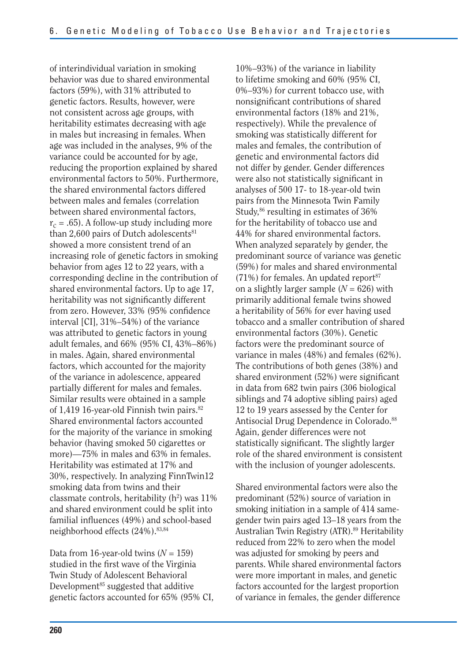of interindividual variation in smoking behavior was due to shared environmental factors (59%), with 31% attributed to genetic factors. Results, however, were not consistent across age groups, with heritability estimates decreasing with age in males but increasing in females. When age was included in the analyses, 9% of the variance could be accounted for by age, reducing the proportion explained by shared environmental factors to 50%. Furthermore, the shared environmental factors differed between males and females (correlation between shared environmental factors,  $r_c = .65$ ). A follow-up study including more than  $2,600$  pairs of Dutch adolescents $81$ showed a more consistent trend of an increasing role of genetic factors in smoking behavior from ages 12 to 22 years, with a corresponding decline in the contribution of shared environmental factors. Up to age 17, heritability was not significantly different from zero. However, 33% (95% confidence interval [CI], 31%–54%) of the variance was attributed to genetic factors in young adult females, and 66% (95% CI, 43%–86%) in males. Again, shared environmental factors, which accounted for the majority of the variance in adolescence, appeared partially different for males and females. Similar results were obtained in a sample of 1,419 16-year-old Finnish twin pairs. $82$ Shared environmental factors accounted for the majority of the variance in smoking behavior (having smoked 50 cigarettes or more)—75% in males and 63% in females. Heritability was estimated at 17% and 30%, respectively. In analyzing FinnTwin12 smoking data from twins and their classmate controls, heritability  $(h^2)$  was  $11\%$ and shared environment could be split into familial influences (49%) and school-based neighborhood effects (24%).<sup>83,84</sup>

Data from 16-year-old twins  $(N = 159)$ studied in the first wave of the Virginia Twin Study of Adolescent Behavioral Development $85$  suggested that additive genetic factors accounted for 65% (95% CI,

10%–93%) of the variance in liability to lifetime smoking and 60% (95% CI, 0%–93%) for current tobacco use, with nonsignificant contributions of shared environmental factors (18% and 21%, respectively). While the prevalence of smoking was statistically different for males and females, the contribution of genetic and environmental factors did not differ by gender. Gender differences were also not statistically significant in analyses of 500 17- to 18-year-old twin pairs from the Minnesota Twin Family Study,<sup>86</sup> resulting in estimates of 36% for the heritability of tobacco use and 44% for shared environmental factors. When analyzed separately by gender, the predominant source of variance was genetic (59%) for males and shared environmental  $(71%)$  for females. An updated report<sup>87</sup> on a slightly larger sample  $(N = 626)$  with primarily additional female twins showed a heritability of 56% for ever having used tobacco and a smaller contribution of shared environmental factors (30%). Genetic factors were the predominant source of variance in males (48%) and females (62%). The contributions of both genes (38%) and shared environment  $(52%)$  were significant in data from 682 twin pairs (306 biological siblings and 74 adoptive sibling pairs) aged 12 to 19 years assessed by the Center for Antisocial Drug Dependence in Colorado.<sup>88</sup> Again, gender differences were not statistically significant. The slightly larger role of the shared environment is consistent with the inclusion of younger adolescents.

Shared environmental factors were also the predominant (52%) source of variation in smoking initiation in a sample of 414 samegender twin pairs aged 13–18 years from the Australian Twin Registry (ATR).<sup>89</sup> Heritability reduced from 22% to zero when the model was adjusted for smoking by peers and parents. While shared environmental factors were more important in males, and genetic factors accounted for the largest proportion of variance in females, the gender difference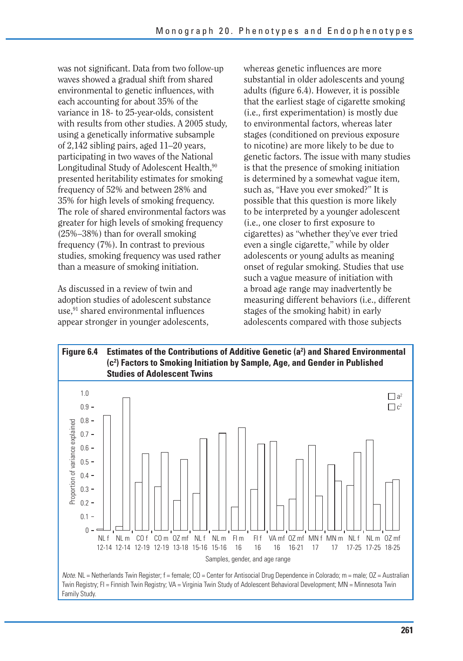was not significant. Data from two follow-up waves showed a gradual shift from shared environmental to genetic influences, with each accounting for about 35% of the variance in 18- to 25-year-olds, consistent with results from other studies. A 2005 study, using a genetically informative subsample of 2,142 sibling pairs, aged 11–20 years, participating in two waves of the National Longitudinal Study of Adolescent Health,<sup>90</sup> presented heritability estimates for smoking frequency of 52% and between 28% and 35% for high levels of smoking frequency. The role of shared environmental factors was greater for high levels of smoking frequency (25%–38%) than for overall smoking frequency (7%). In contrast to previous studies, smoking frequency was used rather than a measure of smoking initiation.

As discussed in a review of twin and adoption studies of adolescent substance use,<sup>91</sup> shared environmental influences appear stronger in younger adolescents,

whereas genetic influences are more substantial in older adolescents and young adults (figure 6.4). However, it is possible that the earliest stage of cigarette smoking (i.e., first experimentation) is mostly due to environmental factors, whereas later stages (conditioned on previous exposure to nicotine) are more likely to be due to genetic factors. The issue with many studies is that the presence of smoking initiation is determined by a somewhat vague item, such as, "Have you ever smoked?" It is possible that this question is more likely to be interpreted by a younger adolescent (i.e., one closer to first exposure to cigarettes) as "whether they've ever tried even a single cigarette," while by older adolescents or young adults as meaning onset of regular smoking. Studies that use such a vague measure of initiation with a broad age range may inadvertently be measuring different behaviors (i.e., different stages of the smoking habit) in early adolescents compared with those subjects

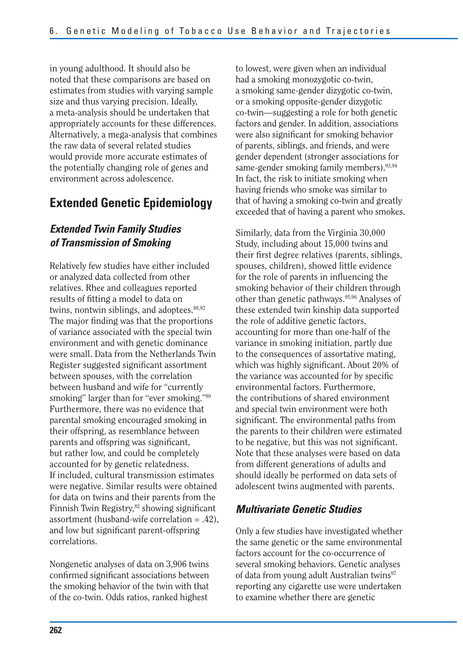in young adulthood. It should also be noted that these comparisons are based on estimates from studies with varying sample size and thus varying precision. Ideally, a meta-analysis should be undertaken that appropriately accounts for these differences. Alternatively, a mega-analysis that combines the raw data of several related studies would provide more accurate estimates of the potentially changing role of genes and environment across adolescence.

#### **Extended Genetic Epidemiology**

#### *Extended Twin Family Studies of Transmission of Smoking*

Relatively few studies have either included or analyzed data collected from other relatives. Rhee and colleagues reported results of fitting a model to data on twins, nontwin siblings, and adoptees.<sup>88,92</sup> The major finding was that the proportions of variance associated with the special twin environment and with genetic dominance were small. Data from the Netherlands Twin Register suggested significant assortment between spouses, with the correlation between husband and wife for "currently smoking" larger than for "ever smoking."80 Furthermore, there was no evidence that parental smoking encouraged smoking in their offspring, as resemblance between parents and offspring was significant, but rather low, and could be completely accounted for by genetic relatedness. If included, cultural transmission estimates were negative. Similar results were obtained for data on twins and their parents from the Finnish Twin Registry,<sup>82</sup> showing significant assortment (husband-wife correlation = .42), and low but significant parent-offspring correlations.

Nongenetic analyses of data on 3,906 twins confirmed significant associations between the smoking behavior of the twin with that of the co-twin. Odds ratios, ranked highest

to lowest, were given when an individual had a smoking monozygotic co-twin, a smoking same-gender dizygotic co-twin, or a smoking opposite-gender dizygotic co-twin—suggesting a role for both genetic factors and gender. In addition, associations were also significant for smoking behavior of parents, siblings, and friends, and were gender dependent (stronger associations for same-gender smoking family members).<sup>93,94</sup> In fact, the risk to initiate smoking when having friends who smoke was similar to that of having a smoking co-twin and greatly exceeded that of having a parent who smokes.

Similarly, data from the Virginia 30,000 Study, including about 15,000 twins and their first degree relatives (parents, siblings, spouses, children), showed little evidence for the role of parents in influencing the smoking behavior of their children through other than genetic pathways.95,96 Analyses of these extended twin kinship data supported the role of additive genetic factors, accounting for more than one-half of the variance in smoking initiation, partly due to the consequences of assortative mating, which was highly significant. About 20% of the variance was accounted for by specific environmental factors. Furthermore, the contributions of shared environment and special twin environment were both significant. The environmental paths from the parents to their children were estimated to be negative, but this was not significant. Note that these analyses were based on data from different generations of adults and should ideally be performed on data sets of adolescent twins augmented with parents.

#### *Multivariate Genetic Studies*

Only a few studies have investigated whether the same genetic or the same environmental factors account for the co-occurrence of several smoking behaviors. Genetic analyses of data from young adult Australian twins<sup>97</sup> reporting any cigarette use were undertaken to examine whether there are genetic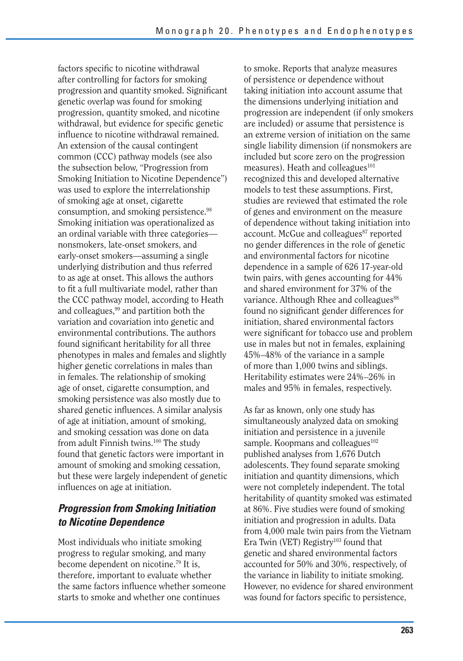factors specific to nicotine withdrawal after controlling for factors for smoking progression and quantity smoked. Significant genetic overlap was found for smoking progression, quantity smoked, and nicotine withdrawal, but evidence for specific genetic influence to nicotine withdrawal remained. An extension of the causal contingent common (CCC) pathway models (see also the subsection below, "Progression from Smoking Initiation to Nicotine Dependence") was used to explore the interrelationship of smoking age at onset, cigarette consumption, and smoking persistence.98 Smoking initiation was operationalized as an ordinal variable with three categories nonsmokers, late-onset smokers, and early-onset smokers—assuming a single underlying distribution and thus referred to as age at onset. This allows the authors to fit a full multivariate model, rather than the CCC pathway model, according to Heath and colleagues,<sup>99</sup> and partition both the variation and covariation into genetic and environmental contributions. The authors found significant heritability for all three phenotypes in males and females and slightly higher genetic correlations in males than in females. The relationship of smoking age of onset, cigarette consumption, and smoking persistence was also mostly due to shared genetic influences. A similar analysis of age at initiation, amount of smoking, and smoking cessation was done on data from adult Finnish twins.<sup>100</sup> The study found that genetic factors were important in amount of smoking and smoking cessation, but these were largely independent of genetic influences on age at initiation.

#### *Progression from Smoking Initiation to Nicotine Dependence*

Most individuals who initiate smoking progress to regular smoking, and many become dependent on nicotine.79 It is, therefore, important to evaluate whether the same factors influence whether someone starts to smoke and whether one continues

to smoke. Reports that analyze measures of persistence or dependence without taking initiation into account assume that the dimensions underlying initiation and progression are independent (if only smokers are included) or assume that persistence is an extreme version of initiation on the same single liability dimension (if nonsmokers are included but score zero on the progression measures). Heath and colleagues $^{101}$ recognized this and developed alternative models to test these assumptions. First, studies are reviewed that estimated the role of genes and environment on the measure of dependence without taking initiation into account. McGue and colleagues<sup>87</sup> reported no gender differences in the role of genetic and environmental factors for nicotine dependence in a sample of 626 17-year-old twin pairs, with genes accounting for 44% and shared environment for 37% of the variance. Although Rhee and colleagues<sup>88</sup> found no significant gender differences for initiation, shared environmental factors were significant for tobacco use and problem use in males but not in females, explaining 45%–48% of the variance in a sample of more than 1,000 twins and siblings. Heritability estimates were 24%–26% in males and 95% in females, respectively.

As far as known, only one study has simultaneously analyzed data on smoking initiation and persistence in a juvenile sample. Koopmans and colleagues $102$ published analyses from 1,676 Dutch adolescents. They found separate smoking initiation and quantity dimensions, which were not completely independent. The total heritability of quantity smoked was estimated at 86%. Five studies were found of smoking initiation and progression in adults. Data from 4,000 male twin pairs from the Vietnam Era Twin (VET) Registry<sup>103</sup> found that genetic and shared environmental factors accounted for 50% and 30%, respectively, of the variance in liability to initiate smoking. However, no evidence for shared environment was found for factors specific to persistence,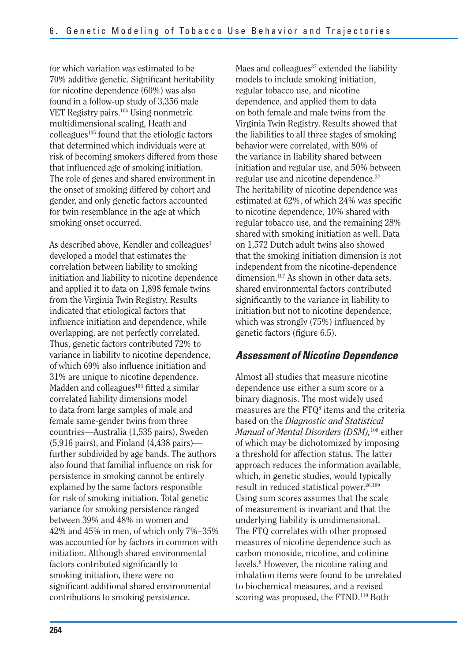for which variation was estimated to be 70% additive genetic. Significant heritability for nicotine dependence (60%) was also found in a follow-up study of 3,356 male VET Registry pairs.104 Using nonmetric multidimensional scaling, Heath and  $\text{colle}$ agues<sup>105</sup> found that the etiologic factors that determined which individuals were at risk of becoming smokers differed from those that influenced age of smoking initiation. The role of genes and shared environment in the onset of smoking differed by cohort and gender, and only genetic factors accounted for twin resemblance in the age at which smoking onset occurred.

As described above, Kendler and colleagues $<sup>1</sup>$ </sup> developed a model that estimates the correlation between liability to smoking initiation and liability to nicotine dependence and applied it to data on 1,898 female twins from the Virginia Twin Registry. Results indicated that etiological factors that influence initiation and dependence, while overlapping, are not perfectly correlated. Thus, genetic factors contributed 72% to variance in liability to nicotine dependence, of which 69% also influence initiation and 31% are unique to nicotine dependence. Madden and colleagues<sup>106</sup> fitted a similar correlated liability dimensions model to data from large samples of male and female same-gender twins from three countries—Australia (1,535 pairs), Sweden (5,916 pairs), and Finland (4,438 pairs) further subdivided by age bands. The authors also found that familial influence on risk for persistence in smoking cannot be entirely explained by the same factors responsible for risk of smoking initiation. Total genetic variance for smoking persistence ranged between 39% and 48% in women and 42% and 45% in men, of which only 7%–35% was accounted for by factors in common with initiation. Although shared environmental factors contributed significantly to smoking initiation, there were no significant additional shared environmental contributions to smoking persistence.

Maes and colleagues $37$  extended the liability models to include smoking initiation, regular tobacco use, and nicotine dependence, and applied them to data on both female and male twins from the Virginia Twin Registry. Results showed that the liabilities to all three stages of smoking behavior were correlated, with 80% of the variance in liability shared between initiation and regular use, and 50% between regular use and nicotine dependence.37 The heritability of nicotine dependence was estimated at  $62\%$ , of which  $24\%$  was specific to nicotine dependence, 10% shared with regular tobacco use, and the remaining 28% shared with smoking initiation as well. Data on 1,572 Dutch adult twins also showed that the smoking initiation dimension is not independent from the nicotine-dependence dimension.<sup>107</sup> As shown in other data sets, shared environmental factors contributed significantly to the variance in liability to initiation but not to nicotine dependence, which was strongly  $(75%)$  influenced by genetic factors (figure 6.5).

#### *Assessment of Nicotine Dependence*

Almost all studies that measure nicotine dependence use either a sum score or a binary diagnosis. The most widely used measures are the  $FTQ<sup>8</sup>$  items and the criteria based on the *Diagnostic and Statistical Manual of Mental Disorders (DSM),*108 either of which may be dichotomized by imposing a threshold for affection status. The latter approach reduces the information available, which, in genetic studies, would typically result in reduced statistical power.<sup>26,109</sup> Using sum scores assumes that the scale of measurement is invariant and that the underlying liability is unidimensional. The FTQ correlates with other proposed measures of nicotine dependence such as carbon monoxide, nicotine, and cotinine levels.8 However, the nicotine rating and inhalation items were found to be unrelated to biochemical measures, and a revised scoring was proposed, the FTND.<sup>110</sup> Both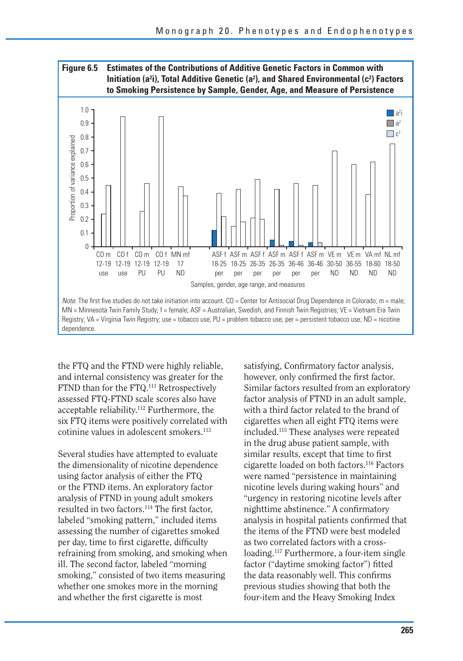

the FTQ and the FTND were highly reliable, and internal consistency was greater for the FTND than for the FTQ.<sup>111</sup> Retrospectively assessed FTQ-FTND scale scores also have acceptable reliability.112 Furthermore, the six FTQ items were positively correlated with cotinine values in adolescent smokers.<sup>113</sup>

Several studies have attempted to evaluate the dimensionality of nicotine dependence using factor analysis of either the FTQ or the FTND items. An exploratory factor analysis of FTND in young adult smokers resulted in two factors.<sup>114</sup> The first factor, labeled "smoking pattern," included items assessing the number of cigarettes smoked per day, time to first cigarette, difficulty refraining from smoking, and smoking when ill. The second factor, labeled "morning smoking," consisted of two items measuring whether one smokes more in the morning and whether the first cigarette is most

satisfying, Confirmatory factor analysis, however, only confirmed the first factor. Similar factors resulted from an exploratory factor analysis of FTND in an adult sample, with a third factor related to the brand of cigarettes when all eight FTQ items were included.115 These analyses were repeated in the drug abuse patient sample, with similar results, except that time to first cigarette loaded on both factors.116 Factors were named "persistence in maintaining nicotine levels during waking hours" and "urgency in restoring nicotine levels after nighttime abstinence." A confirmatory analysis in hospital patients confirmed that the items of the FTND were best modeled as two correlated factors with a crossloading.<sup>117</sup> Furthermore, a four-item single factor ("daytime smoking factor") fitted the data reasonably well. This confirms previous studies showing that both the four-item and the Heavy Smoking Index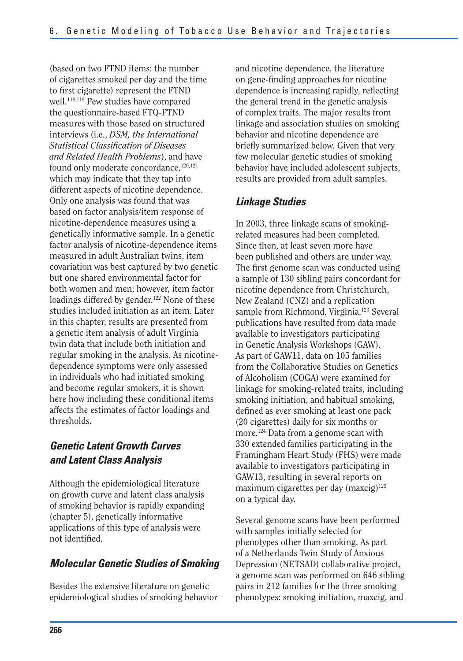(based on two FTND items: the number of cigarettes smoked per day and the time to first cigarette) represent the FTND well.<sup>118,119</sup> Few studies have compared the questionnaire-based FTQ-FTND measures with those based on structured interviews (i.e., *DSM, the International Statistical Classification of Diseases and Related Health Problems*), and have found only moderate concordance,<sup>120,121</sup> which may indicate that they tap into different aspects of nicotine dependence. Only one analysis was found that was based on factor analysis/item response of nicotine-dependence measures using a genetically informative sample. In a genetic factor analysis of nicotine-dependence items measured in adult Australian twins, item covariation was best captured by two genetic but one shared environmental factor for both women and men; however, item factor loadings differed by gender.<sup>122</sup> None of these studies included initiation as an item. Later in this chapter, results are presented from a genetic item analysis of adult Virginia twin data that include both initiation and regular smoking in the analysis. As nicotinedependence symptoms were only assessed in individuals who had initiated smoking and become regular smokers, it is shown here how including these conditional items affects the estimates of factor loadings and thresholds.

#### *Genetic Latent Growth Curves and Latent Class Analysis*

Although the epidemiological literature on growth curve and latent class analysis of smoking behavior is rapidly expanding (chapter 5), genetically informative applications of this type of analysis were not identified.

#### *Molecular Genetic Studies of Smoking*

Besides the extensive literature on genetic epidemiological studies of smoking behavior and nicotine dependence, the literature on gene-finding approaches for nicotine dependence is increasing rapidly, reflecting the general trend in the genetic analysis of complex traits. The major results from linkage and association studies on smoking behavior and nicotine dependence are briefly summarized below. Given that very few molecular genetic studies of smoking behavior have included adolescent subjects, results are provided from adult samples.

#### *Linkage Studies*

In 2003, three linkage scans of smokingrelated measures had been completed. Since then, at least seven more have been published and others are under way. The first genome scan was conducted using a sample of 130 sibling pairs concordant for nicotine dependence from Christchurch, New Zealand (CNZ) and a replication sample from Richmond, Virginia.<sup>123</sup> Several publications have resulted from data made available to investigators participating in Genetic Analysis Workshops (GAW). As part of GAW11, data on 105 families from the Collaborative Studies on Genetics of Alcoholism (COGA) were examined for linkage for smoking-related traits, including smoking initiation, and habitual smoking, defined as ever smoking at least one pack (20 cigarettes) daily for six months or more.<sup>124</sup> Data from a genome scan with 330 extended families participating in the Framingham Heart Study (FHS) were made available to investigators participating in GAW13, resulting in several reports on maximum cigarettes per day  $(maxcig)^{125}$ on a typical day.

Several genome scans have been performed with samples initially selected for phenotypes other than smoking. As part of a Netherlands Twin Study of Anxious Depression (NETSAD) collaborative project, a genome scan was performed on 646 sibling pairs in 212 families for the three smoking phenotypes: smoking initiation, maxcig, and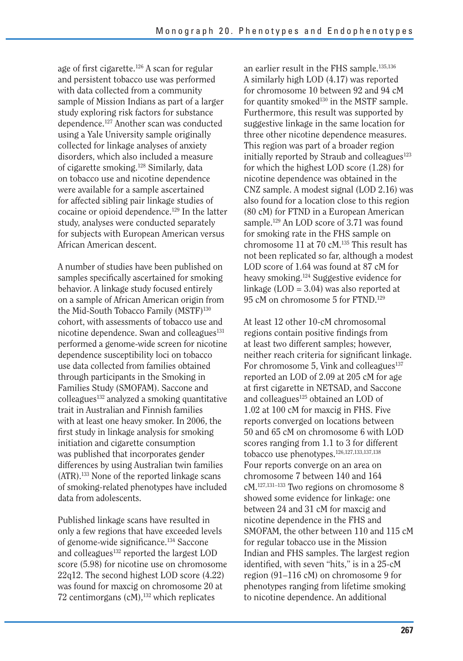age of first cigarette.<sup>126</sup> A scan for regular and persistent tobacco use was performed with data collected from a community sample of Mission Indians as part of a larger study exploring risk factors for substance dependence.127 Another scan was conducted using a Yale University sample originally collected for linkage analyses of anxiety disorders, which also included a measure of cigarette smoking.128 Similarly, data on tobacco use and nicotine dependence were available for a sample ascertained for affected sibling pair linkage studies of cocaine or opioid dependence.129 In the latter study, analyses were conducted separately for subjects with European American versus African American descent.

A number of studies have been published on samples specifically ascertained for smoking behavior. A linkage study focused entirely on a sample of African American origin from the Mid-South Tobacco Family (MSTF)<sup>130</sup> cohort, with assessments of tobacco use and nicotine dependence. Swan and colleagues<sup>131</sup> performed a genome-wide screen for nicotine dependence susceptibility loci on tobacco use data collected from families obtained through participants in the Smoking in Families Study (SMOFAM). Saccone and colleagues132 analyzed a smoking quantitative trait in Australian and Finnish families with at least one heavy smoker. In 2006, the first study in linkage analysis for smoking initiation and cigarette consumption was published that incorporates gender differences by using Australian twin families (ATR).133 None of the reported linkage scans of smoking-related phenotypes have included data from adolescents.

Published linkage scans have resulted in only a few regions that have exceeded levels of genome-wide significance.<sup>134</sup> Saccone and colleagues<sup>132</sup> reported the largest LOD score (5.98) for nicotine use on chromosome 22q12. The second highest LOD score (4.22) was found for maxcig on chromosome 20 at 72 centimorgans  $(cM)$ ,<sup>132</sup> which replicates

an earlier result in the FHS sample.135,136 A similarly high LOD (4.17) was reported for chromosome 10 between 92 and 94 cM for quantity smoked<sup>130</sup> in the MSTF sample. Furthermore, this result was supported by suggestive linkage in the same location for three other nicotine dependence measures. This region was part of a broader region initially reported by Straub and colleagues $123$ for which the highest LOD score (1.28) for nicotine dependence was obtained in the CNZ sample. A modest signal (LOD 2.16) was also found for a location close to this region (80 cM) for FTND in a European American sample.<sup>129</sup> An LOD score of 3.71 was found for smoking rate in the FHS sample on chromosome 11 at 70 cM.135 This result has not been replicated so far, although a modest LOD score of 1.64 was found at 87 cM for heavy smoking.124 Suggestive evidence for linkage  $(LOD = 3.04)$  was also reported at 95 cM on chromosome 5 for FTND.129

At least 12 other 10-cM chromosomal regions contain positive findings from at least two different samples; however, neither reach criteria for significant linkage. For chromosome 5, Vink and colleagues $137$ reported an LOD of 2.09 at 205 cM for age at first cigarette in NETSAD, and Saccone and colleagues $125$  obtained an LOD of 1.02 at 100 cM for maxcig in FHS. Five reports converged on locations between 50 and 65 cM on chromosome 6 with LOD scores ranging from 1.1 to 3 for different tobacco use phenotypes.<sup>126,127,133,137,138</sup> Four reports converge on an area on chromosome 7 between 140 and 164 cM.127,131–133 Two regions on chromosome 8 showed some evidence for linkage: one between 24 and 31 cM for maxcig and nicotine dependence in the FHS and SMOFAM, the other between 110 and 115 cM for regular tobacco use in the Mission Indian and FHS samples. The largest region identified, with seven "hits," is in a 25-cM region (91–116 cM) on chromosome 9 for phenotypes ranging from lifetime smoking to nicotine dependence. An additional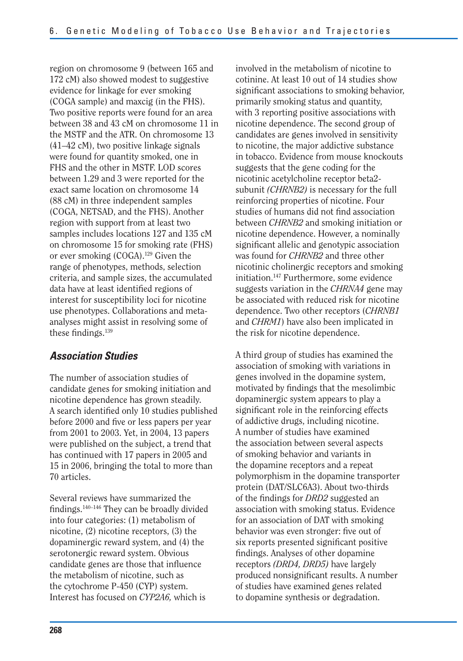region on chromosome 9 (between 165 and 172 cM) also showed modest to suggestive evidence for linkage for ever smoking (COGA sample) and maxcig (in the FHS). Two positive reports were found for an area between 38 and 43 cM on chromosome 11 in the MSTF and the ATR. On chromosome 13 (41–42 cM), two positive linkage signals were found for quantity smoked, one in FHS and the other in MSTF. LOD scores between 1.29 and 3 were reported for the exact same location on chromosome 14 (88 cM) in three independent samples (COGA, NETSAD, and the FHS). Another region with support from at least two samples includes locations 127 and 135 cM on chromosome 15 for smoking rate (FHS) or ever smoking (COGA).129 Given the range of phenotypes, methods, selection criteria, and sample sizes, the accumulated data have at least identified regions of interest for susceptibility loci for nicotine use phenotypes. Collaborations and metaanalyses might assist in resolving some of these findings. $139$ 

#### *Association Studies*

The number of association studies of candidate genes for smoking initiation and nicotine dependence has grown steadily. A search identified only 10 studies published before 2000 and five or less papers per year from 2001 to 2003. Yet, in 2004, 13 papers were published on the subject, a trend that has continued with 17 papers in 2005 and 15 in 2006, bringing the total to more than 70 articles.

Several reviews have summarized the findings. $140-146$  They can be broadly divided into four categories: (1) metabolism of nicotine, (2) nicotine receptors, (3) the dopaminergic reward system, and (4) the serotonergic reward system. Obvious candidate genes are those that influence the metabolism of nicotine, such as the cytochrome P-450 (CYP) system. Interest has focused on *CYP2A6,* which is

involved in the metabolism of nicotine to cotinine. At least 10 out of 14 studies show significant associations to smoking behavior, primarily smoking status and quantity, with 3 reporting positive associations with nicotine dependence. The second group of candidates are genes involved in sensitivity to nicotine, the major addictive substance in tobacco. Evidence from mouse knockouts suggests that the gene coding for the nicotinic acetylcholine receptor beta2 subunit *(CHRNB2)* is necessary for the full reinforcing properties of nicotine. Four studies of humans did not find association between *CHRNB2* and smoking initiation or nicotine dependence. However, a nominally significant allelic and genotypic association was found for *CHRNB2* and three other nicotinic cholinergic receptors and smoking initiation.147 Furthermore, some evidence suggests variation in the *CHRNA4* gene may be associated with reduced risk for nicotine dependence. Two other receptors (*CHRNB1*  and *CHRM1*) have also been implicated in the risk for nicotine dependence.

A third group of studies has examined the association of smoking with variations in genes involved in the dopamine system, motivated by findings that the mesolimbic dopaminergic system appears to play a significant role in the reinforcing effects of addictive drugs, including nicotine. A number of studies have examined the association between several aspects of smoking behavior and variants in the dopamine receptors and a repeat polymorphism in the dopamine transporter protein (DAT/SLC6A3). About two-thirds of the findings for *DRD2* suggested an association with smoking status. Evidence for an association of DAT with smoking behavior was even stronger: five out of six reports presented significant positive findings. Analyses of other dopamine receptors *(DRD4, DRD5)* have largely produced nonsignificant results. A number of studies have examined genes related to dopamine synthesis or degradation.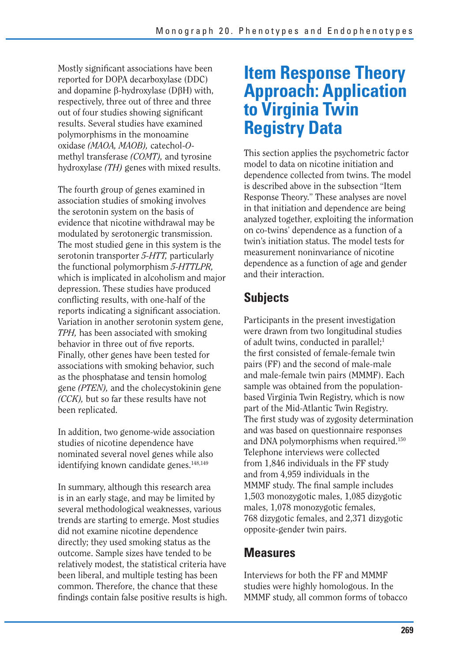Mostly significant associations have been reported for DOPA decarboxylase (DDC) and dopamine  $\beta$ -hydroxylase (D $\beta$ H) with, respectively, three out of three and three out of four studies showing significant results. Several studies have examined polymorphisms in the monoamine oxidase *(MAOA, MAOB),* catechol-*O*methyl transferase *(COMT),* and tyrosine hydroxylase *(TH)* genes with mixed results.

The fourth group of genes examined in association studies of smoking involves the serotonin system on the basis of evidence that nicotine withdrawal may be modulated by serotonergic transmission. The most studied gene in this system is the serotonin transporter *5-HTT,* particularly the functional polymorphism *5-HTTLPR,*  which is implicated in alcoholism and major depression. These studies have produced conflicting results, with one-half of the reports indicating a significant association. Variation in another serotonin system gene, *TPH,* has been associated with smoking behavior in three out of five reports. Finally, other genes have been tested for associations with smoking behavior, such as the phosphatase and tensin homolog gene *(PTEN),* and the cholecystokinin gene *(CCK),* but so far these results have not been replicated.

In addition, two genome-wide association studies of nicotine dependence have nominated several novel genes while also identifying known candidate genes.<sup>148,149</sup>

In summary, although this research area is in an early stage, and may be limited by several methodological weaknesses, various trends are starting to emerge. Most studies did not examine nicotine dependence directly; they used smoking status as the outcome. Sample sizes have tended to be relatively modest, the statistical criteria have been liberal, and multiple testing has been common. Therefore, the chance that these findings contain false positive results is high.

### **Item Response Theory Approach: Application to Virginia Twin Registry Data**

This section applies the psychometric factor model to data on nicotine initiation and dependence collected from twins. The model is described above in the subsection "Item Response Theory." These analyses are novel in that initiation and dependence are being analyzed together, exploiting the information on co-twins' dependence as a function of a twin's initiation status. The model tests for measurement noninvariance of nicotine dependence as a function of age and gender and their interaction.

#### **Subjects**

Participants in the present investigation were drawn from two longitudinal studies of adult twins, conducted in parallel;<sup>1</sup> the first consisted of female-female twin pairs (FF) and the second of male-male and male-female twin pairs (MMMF). Each sample was obtained from the populationbased Virginia Twin Registry, which is now part of the Mid-Atlantic Twin Registry. The first study was of zygosity determination and was based on questionnaire responses and DNA polymorphisms when required.150 Telephone interviews were collected from 1,846 individuals in the FF study and from 4,959 individuals in the MMMF study. The final sample includes 1,503 monozygotic males, 1,085 dizygotic males, 1,078 monozygotic females, 768 dizygotic females, and 2,371 dizygotic opposite-gender twin pairs.

#### **Measures**

Interviews for both the FF and MMMF studies were highly homologous. In the MMMF study, all common forms of tobacco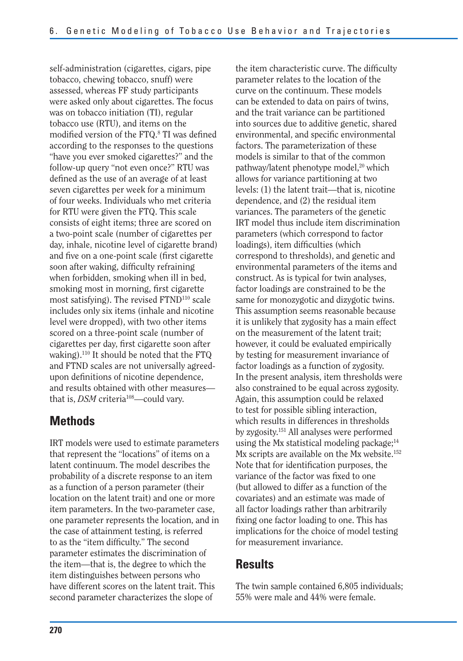self-administration (cigarettes, cigars, pipe tobacco, chewing tobacco, snuff) were assessed, whereas FF study participants were asked only about cigarettes. The focus was on tobacco initiation (TI), regular tobacco use (RTU), and items on the modified version of the FTQ.<sup>8</sup> TI was defined according to the responses to the questions "have you ever smoked cigarettes?" and the follow-up query "not even once?" RTU was defined as the use of an average of at least seven cigarettes per week for a minimum of four weeks. Individuals who met criteria for RTU were given the FTQ. This scale consists of eight items; three are scored on a two-point scale (number of cigarettes per day, inhale, nicotine level of cigarette brand) and five on a one-point scale (first cigarette) soon after waking, difficulty refraining when forbidden, smoking when ill in bed, smoking most in morning, first cigarette most satisfying). The revised FTND<sup>110</sup> scale includes only six items (inhale and nicotine level were dropped), with two other items scored on a three-point scale (number of cigarettes per day, first cigarette soon after waking).<sup>110</sup> It should be noted that the  $FTQ$ and FTND scales are not universally agreedupon definitions of nicotine dependence, and results obtained with other measures that is, *DSM* criteria<sup>108</sup>—could vary.

#### **Methods**

IRT models were used to estimate parameters that represent the "locations" of items on a latent continuum. The model describes the probability of a discrete response to an item as a function of a person parameter (their location on the latent trait) and one or more item parameters. In the two-parameter case, one parameter represents the location, and in the case of attainment testing, is referred to as the "item difficulty." The second parameter estimates the discrimination of the item—that is, the degree to which the item distinguishes between persons who have different scores on the latent trait. This second parameter characterizes the slope of

 variance of the factor was fixed to one the item characteristic curve. The difficulty parameter relates to the location of the curve on the continuum. These models can be extended to data on pairs of twins, and the trait variance can be partitioned into sources due to additive genetic, shared environmental, and specific environmental factors. The parameterization of these models is similar to that of the common pathway/latent phenotype model, $20$  which allows for variance partitioning at two levels: (1) the latent trait—that is, nicotine dependence, and (2) the residual item variances. The parameters of the genetic IRT model thus include item discrimination parameters (which correspond to factor loadings), item difficulties (which correspond to thresholds), and genetic and environmental parameters of the items and construct. As is typical for twin analyses, factor loadings are constrained to be the same for monozygotic and dizygotic twins. This assumption seems reasonable because it is unlikely that zygosity has a main effect on the measurement of the latent trait; however, it could be evaluated empirically by testing for measurement invariance of factor loadings as a function of zygosity. In the present analysis, item thresholds were also constrained to be equal across zygosity. Again, this assumption could be relaxed to test for possible sibling interaction, which results in differences in thresholds by zygosity.151 All analyses were performed using the Mx statistical modeling package;<sup>14</sup> Mx scripts are available on the Mx website.<sup>152</sup> Note that for identification purposes, the (but allowed to differ as a function of the covariates) and an estimate was made of all factor loadings rather than arbitrarily fixing one factor loading to one. This has implications for the choice of model testing for measurement invariance.

#### **Results**

The twin sample contained 6,805 individuals; 55% were male and 44% were female.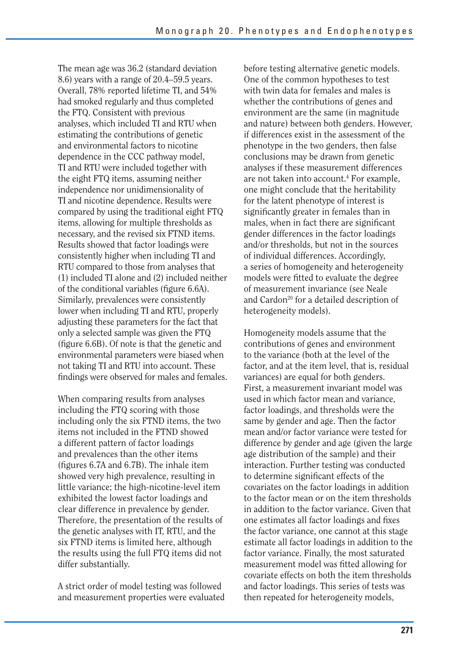The mean age was 36.2 (standard deviation 8.6) years with a range of 20.4–59.5 years. Overall, 78% reported lifetime TI, and 54% had smoked regularly and thus completed the FTQ. Consistent with previous analyses, which included TI and RTU when estimating the contributions of genetic and environmental factors to nicotine dependence in the CCC pathway model, TI and RTU were included together with the eight FTQ items, assuming neither independence nor unidimensionality of TI and nicotine dependence. Results were compared by using the traditional eight FTQ items, allowing for multiple thresholds as necessary, and the revised six FTND items. Results showed that factor loadings were consistently higher when including TI and RTU compared to those from analyses that (1) included TI alone and (2) included neither of the conditional variables (figure 6.6A). Similarly, prevalences were consistently lower when including TI and RTU, properly adjusting these parameters for the fact that only a selected sample was given the FTQ (figure 6.6B). Of note is that the genetic and environmental parameters were biased when not taking TI and RTU into account. These findings were observed for males and females.

When comparing results from analyses including the FTQ scoring with those including only the six FTND items, the two items not included in the FTND showed a different pattern of factor loadings and prevalences than the other items (figures 6.7A and 6.7B). The inhale item showed very high prevalence, resulting in little variance; the high-nicotine-level item exhibited the lowest factor loadings and clear difference in prevalence by gender. Therefore, the presentation of the results of the genetic analyses with IT, RTU, and the six FTND items is limited here, although the results using the full FTQ items did not differ substantially.

A strict order of model testing was followed and measurement properties were evaluated before testing alternative genetic models. One of the common hypotheses to test with twin data for females and males is whether the contributions of genes and environment are the same (in magnitude and nature) between both genders. However, if differences exist in the assessment of the phenotype in the two genders, then false conclusions may be drawn from genetic analyses if these measurement differences are not taken into account.<sup>4</sup> For example, one might conclude that the heritability for the latent phenotype of interest is significantly greater in females than in males, when in fact there are significant gender differences in the factor loadings and/or thresholds, but not in the sources of individual differences. Accordingly, a series of homogeneity and heterogeneity models were fitted to evaluate the degree of measurement invariance (see Neale and Cardon<sup>20</sup> for a detailed description of heterogeneity models).

Homogeneity models assume that the contributions of genes and environment to the variance (both at the level of the factor, and at the item level, that is, residual variances) are equal for both genders. First, a measurement invariant model was used in which factor mean and variance, factor loadings, and thresholds were the same by gender and age. Then the factor mean and/or factor variance were tested for difference by gender and age (given the large age distribution of the sample) and their interaction. Further testing was conducted to determine significant effects of the covariates on the factor loadings in addition to the factor mean or on the item thresholds in addition to the factor variance. Given that one estimates all factor loadings and fixes the factor variance, one cannot at this stage estimate all factor loadings in addition to the factor variance. Finally, the most saturated measurement model was fitted allowing for covariate effects on both the item thresholds and factor loadings. This series of tests was then repeated for heterogeneity models,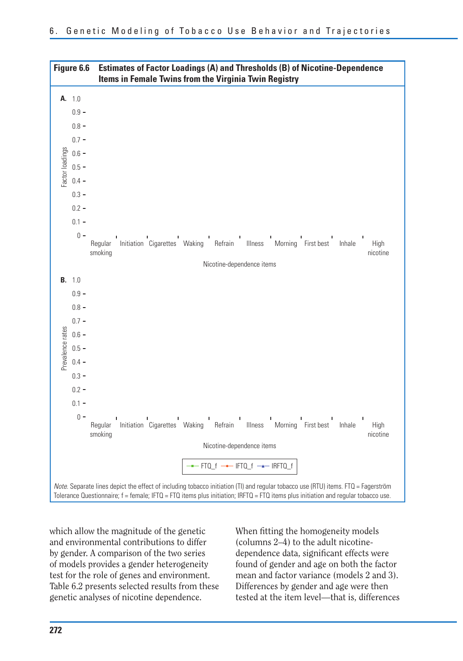

which allow the magnitude of the genetic and environmental contributions to differ by gender. A comparison of the two series of models provides a gender heterogeneity test for the role of genes and environment. Table 6.2 presents selected results from these genetic analyses of nicotine dependence.

When fitting the homogeneity models (columns 2–4) to the adult nicotinedependence data, significant effects were found of gender and age on both the factor mean and factor variance (models 2 and 3). Differences by gender and age were then tested at the item level—that is, differences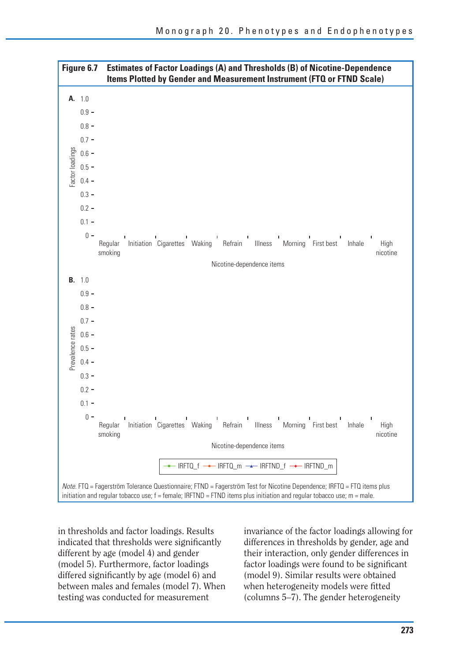

in thresholds and factor loadings. Results indicated that thresholds were significantly different by age (model 4) and gender (model 5). Furthermore, factor loadings differed significantly by age (model 6) and between males and females (model 7). When testing was conducted for measurement

invariance of the factor loadings allowing for differences in thresholds by gender, age and their interaction, only gender differences in factor loadings were found to be significant (model 9). Similar results were obtained when heterogeneity models were fitted (columns 5–7). The gender heterogeneity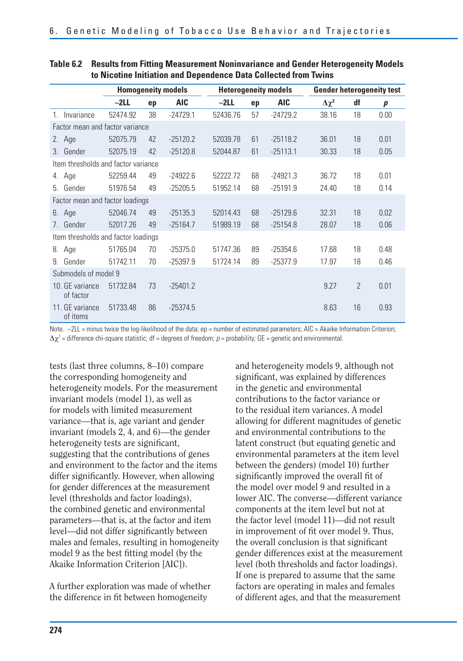|                                     | <b>Homogeneity models</b> |    |            | <b>Heterogeneity models</b> |    |            | <b>Gender heterogeneity test</b> |                |                  |  |
|-------------------------------------|---------------------------|----|------------|-----------------------------|----|------------|----------------------------------|----------------|------------------|--|
|                                     | $-2LL$                    | ep | <b>AIC</b> | $-2LL$                      | ep | <b>AIC</b> | $\Delta \chi^2$                  | df             | $\boldsymbol{p}$ |  |
| Invariance<br>1                     | 52474.92                  | 38 | $-24729.1$ | 52436.76                    | 57 | $-24729.2$ | 38.16                            | 18             | 0.00             |  |
| Factor mean and factor variance     |                           |    |            |                             |    |            |                                  |                |                  |  |
| Age<br>2.                           | 52075.79                  | 42 | $-25120.2$ | 52039.78                    | 61 | $-25118.2$ | 36.01                            | 18             | 0.01             |  |
| Gender<br>$\mathcal{S}$             | 52075.19                  | 42 | $-25120.8$ | 52044.87                    | 61 | $-25113.1$ | 30.33                            | 18             | 0.05             |  |
| Item thresholds and factor variance |                           |    |            |                             |    |            |                                  |                |                  |  |
| 4. Age                              | 52259.44                  | 49 | $-24922.6$ | 52222.72                    | 68 | $-24921.3$ | 36.72                            | 18             | 0.01             |  |
| Gender<br>5                         | 51976.54                  | 49 | $-25205.5$ | 51952.14                    | 68 | $-25191.9$ | 24.40                            | 18             | 0.14             |  |
| Factor mean and factor loadings     |                           |    |            |                             |    |            |                                  |                |                  |  |
| Age<br>6.                           | 52046.74                  | 49 | $-25135.3$ | 52014.43                    | 68 | $-25129.6$ | 32.31                            | 18             | 0.02             |  |
| Gender<br>7                         | 52017.26                  | 49 | $-25164.7$ | 51989.19                    | 68 | $-25154.8$ | 28.07                            | 18             | 0.06             |  |
| Item thresholds and factor loadings |                           |    |            |                             |    |            |                                  |                |                  |  |
| Age<br>8.                           | 51765.04                  | 70 | $-25375.0$ | 51747.36                    | 89 | $-25354.6$ | 17.68                            | 18             | 0.48             |  |
| Gender<br>9                         | 51742.11                  | 70 | $-25397.9$ | 51724.14                    | 89 | $-25377.9$ | 17.97                            | 18             | 0.46             |  |
| Submodels of model 9                |                           |    |            |                             |    |            |                                  |                |                  |  |
| 10. GE variance<br>of factor        | 51732.84                  | 73 | $-25401.2$ |                             |    |            | 9.27                             | $\overline{2}$ | 0.01             |  |
| 11. GE variance<br>of items         | 51733.48                  | 86 | $-25374.5$ |                             |    |            | 8.63                             | 16             | 0.93             |  |

#### **Table 6.2 Results from Fitting Measurement Noninvariance and Gender Heterogeneity Models to Nicotine Initiation and Dependence Data Collected from Twins**

Note. -2LL = minus twice the log-likelihood of the data; ep = number of estimated parameters; AIC = Akaike Information Criterion;  $\Delta \chi^2$  = difference chi-square statistic; df = degrees of freedom; p = probability; GE = genetic and environmental.

tests (last three columns, 8–10) compare the corresponding homogeneity and heterogeneity models. For the measurement invariant models (model 1), as well as for models with limited measurement variance—that is, age variant and gender invariant (models 2, 4, and 6)—the gender heterogeneity tests are significant, suggesting that the contributions of genes and environment to the factor and the items differ significantly. However, when allowing for gender differences at the measurement level (thresholds and factor loadings), the combined genetic and environmental parameters—that is, at the factor and item level—did not differ significantly between males and females, resulting in homogeneity model 9 as the best fitting model (by the Akaike Information Criterion [AIC]).

A further exploration was made of whether the difference in fit between homogeneity

and heterogeneity models 9, although not significant, was explained by differences in the genetic and environmental contributions to the factor variance or to the residual item variances. A model allowing for different magnitudes of genetic and environmental contributions to the latent construct (but equating genetic and environmental parameters at the item level between the genders) (model 10) further significantly improved the overall fit of the model over model 9 and resulted in a lower AIC. The converse—different variance components at the item level but not at the factor level (model 11)—did not result in improvement of fit over model 9. Thus, the overall conclusion is that significant gender differences exist at the measurement level (both thresholds and factor loadings). If one is prepared to assume that the same factors are operating in males and females of different ages, and that the measurement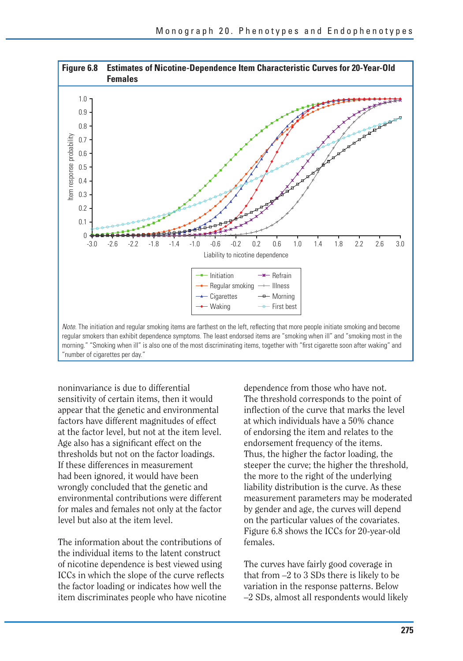

"number of cigarettes per day."

noninvariance is due to differential sensitivity of certain items, then it would appear that the genetic and environmental factors have different magnitudes of effect at the factor level, but not at the item level. Age also has a significant effect on the thresholds but not on the factor loadings. If these differences in measurement had been ignored, it would have been wrongly concluded that the genetic and environmental contributions were different for males and females not only at the factor level but also at the item level.

The information about the contributions of the individual items to the latent construct of nicotine dependence is best viewed using ICCs in which the slope of the curve reflects the factor loading or indicates how well the item discriminates people who have nicotine dependence from those who have not. The threshold corresponds to the point of inflection of the curve that marks the level at which individuals have a 50% chance of endorsing the item and relates to the endorsement frequency of the items. Thus, the higher the factor loading, the steeper the curve; the higher the threshold, the more to the right of the underlying liability distribution is the curve. As these measurement parameters may be moderated by gender and age, the curves will depend on the particular values of the covariates. Figure 6.8 shows the ICCs for 20-year-old females.

The curves have fairly good coverage in that from –2 to 3 SDs there is likely to be variation in the response patterns. Below –2 SDs, almost all respondents would likely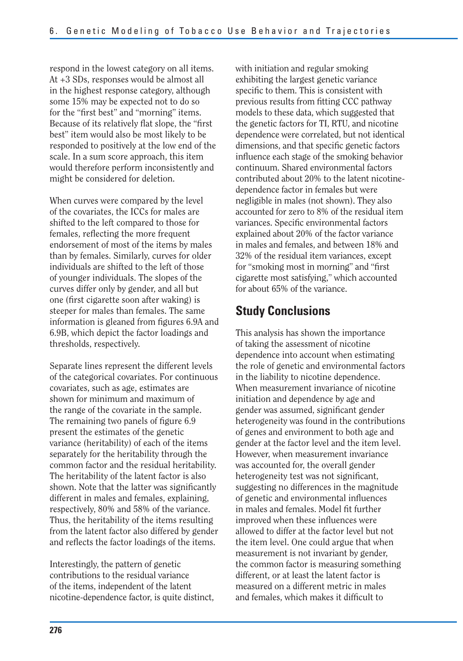respond in the lowest category on all items. At +3 SDs, responses would be almost all in the highest response category, although some 15% may be expected not to do so for the "first best" and "morning" items. Because of its relatively flat slope, the "first" best" item would also be most likely to be responded to positively at the low end of the scale. In a sum score approach, this item would therefore perform inconsistently and might be considered for deletion.

When curves were compared by the level of the covariates, the ICCs for males are shifted to the left compared to those for females, reflecting the more frequent endorsement of most of the items by males than by females. Similarly, curves for older individuals are shifted to the left of those of younger individuals. The slopes of the curves differ only by gender, and all but one (first cigarette soon after waking) is steeper for males than females. The same information is gleaned from figures 6.9A and 6.9B, which depict the factor loadings and thresholds, respectively.

Separate lines represent the different levels of the categorical covariates. For continuous covariates, such as age, estimates are shown for minimum and maximum of the range of the covariate in the sample. The remaining two panels of figure 6.9 present the estimates of the genetic variance (heritability) of each of the items separately for the heritability through the common factor and the residual heritability. The heritability of the latent factor is also shown. Note that the latter was significantly different in males and females, explaining, respectively, 80% and 58% of the variance. Thus, the heritability of the items resulting from the latent factor also differed by gender and reflects the factor loadings of the items.

Interestingly, the pattern of genetic contributions to the residual variance of the items, independent of the latent nicotine-dependence factor, is quite distinct, with initiation and regular smoking exhibiting the largest genetic variance specific to them. This is consistent with previous results from fitting CCC pathway models to these data, which suggested that the genetic factors for TI, RTU, and nicotine dependence were correlated, but not identical dimensions, and that specific genetic factors influence each stage of the smoking behavior continuum. Shared environmental factors contributed about 20% to the latent nicotinedependence factor in females but were negligible in males (not shown). They also accounted for zero to 8% of the residual item variances. Specific environmental factors explained about 20% of the factor variance in males and females, and between 18% and 32% of the residual item variances, except for "smoking most in morning" and "first" cigarette most satisfying," which accounted for about 65% of the variance.

#### **Study Conclusions**

This analysis has shown the importance of taking the assessment of nicotine dependence into account when estimating the role of genetic and environmental factors in the liability to nicotine dependence. When measurement invariance of nicotine initiation and dependence by age and gender was assumed, significant gender heterogeneity was found in the contributions of genes and environment to both age and gender at the factor level and the item level. However, when measurement invariance was accounted for, the overall gender heterogeneity test was not significant, suggesting no differences in the magnitude of genetic and environmental influences in males and females. Model fit further improved when these influences were allowed to differ at the factor level but not the item level. One could argue that when measurement is not invariant by gender, the common factor is measuring something different, or at least the latent factor is measured on a different metric in males and females, which makes it difficult to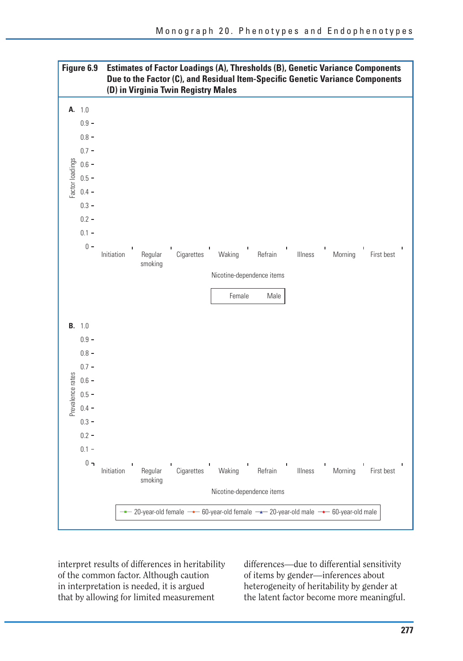

interpret results of differences in heritability of the common factor. Although caution in interpretation is needed, it is argued that by allowing for limited measurement

differences—due to differential sensitivity of items by gender—inferences about heterogeneity of heritability by gender at the latent factor become more meaningful.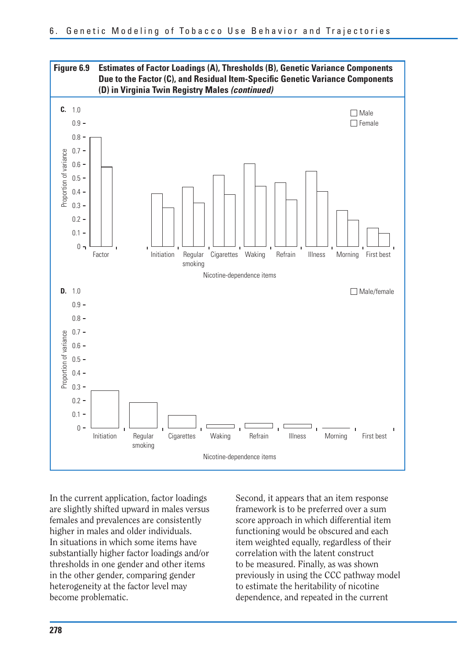

In the current application, factor loadings are slightly shifted upward in males versus females and prevalences are consistently higher in males and older individuals. In situations in which some items have substantially higher factor loadings and/or thresholds in one gender and other items in the other gender, comparing gender heterogeneity at the factor level may become problematic.

Second, it appears that an item response framework is to be preferred over a sum score approach in which differential item functioning would be obscured and each item weighted equally, regardless of their correlation with the latent construct to be measured. Finally, as was shown previously in using the CCC pathway model to estimate the heritability of nicotine dependence, and repeated in the current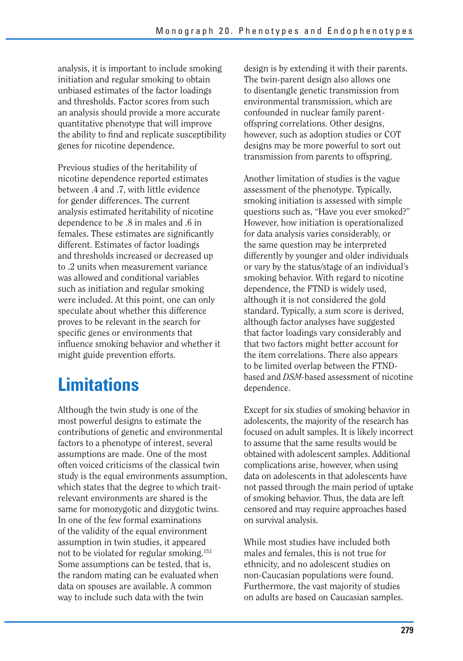analysis, it is important to include smoking initiation and regular smoking to obtain unbiased estimates of the factor loadings and thresholds. Factor scores from such an analysis should provide a more accurate quantitative phenotype that will improve the ability to find and replicate susceptibility genes for nicotine dependence.

Previous studies of the heritability of nicotine dependence reported estimates between .4 and .7, with little evidence for gender differences. The current analysis estimated heritability of nicotine dependence to be .8 in males and .6 in females. These estimates are significantly different. Estimates of factor loadings and thresholds increased or decreased up to .2 units when measurement variance was allowed and conditional variables such as initiation and regular smoking were included. At this point, one can only speculate about whether this difference proves to be relevant in the search for specific genes or environments that influence smoking behavior and whether it might guide prevention efforts.

# **Limitations**

Although the twin study is one of the most powerful designs to estimate the contributions of genetic and environmental factors to a phenotype of interest, several assumptions are made. One of the most often voiced criticisms of the classical twin study is the equal environments assumption, which states that the degree to which traitrelevant environments are shared is the same for monozygotic and dizygotic twins. In one of the few formal examinations of the validity of the equal environment assumption in twin studies, it appeared not to be violated for regular smoking.153 Some assumptions can be tested, that is, the random mating can be evaluated when data on spouses are available. A common way to include such data with the twin

design is by extending it with their parents. The twin-parent design also allows one to disentangle genetic transmission from environmental transmission, which are confounded in nuclear family parentoffspring correlations. Other designs, however, such as adoption studies or COT designs may be more powerful to sort out transmission from parents to offspring.

Another limitation of studies is the vague assessment of the phenotype. Typically, smoking initiation is assessed with simple questions such as, "Have you ever smoked?" However, how initiation is operationalized for data analysis varies considerably, or the same question may be interpreted differently by younger and older individuals or vary by the status/stage of an individual's smoking behavior. With regard to nicotine dependence, the FTND is widely used, although it is not considered the gold standard. Typically, a sum score is derived, although factor analyses have suggested that factor loadings vary considerably and that two factors might better account for the item correlations. There also appears to be limited overlap between the FTNDbased and *DSM-*based assessment of nicotine dependence.

Except for six studies of smoking behavior in adolescents, the majority of the research has focused on adult samples. It is likely incorrect to assume that the same results would be obtained with adolescent samples. Additional complications arise, however, when using data on adolescents in that adolescents have not passed through the main period of uptake of smoking behavior. Thus, the data are left censored and may require approaches based on survival analysis.

While most studies have included both males and females, this is not true for ethnicity, and no adolescent studies on non-Caucasian populations were found. Furthermore, the vast majority of studies on adults are based on Caucasian samples.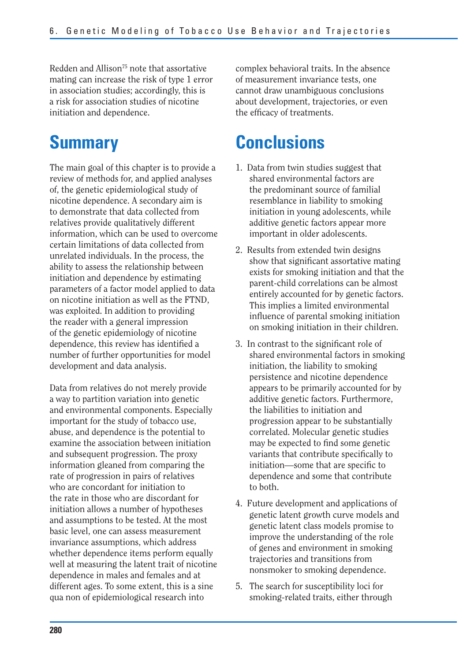Redden and Allison<sup>75</sup> note that assortative mating can increase the risk of type 1 error in association studies; accordingly, this is a risk for association studies of nicotine initiation and dependence.

## **Summary**

The main goal of this chapter is to provide a review of methods for, and applied analyses of, the genetic epidemiological study of nicotine dependence. A secondary aim is to demonstrate that data collected from relatives provide qualitatively different information, which can be used to overcome certain limitations of data collected from unrelated individuals. In the process, the ability to assess the relationship between initiation and dependence by estimating parameters of a factor model applied to data on nicotine initiation as well as the FTND, was exploited. In addition to providing the reader with a general impression of the genetic epidemiology of nicotine dependence, this review has identified a number of further opportunities for model development and data analysis.

Data from relatives do not merely provide a way to partition variation into genetic and environmental components. Especially important for the study of tobacco use, abuse, and dependence is the potential to examine the association between initiation and subsequent progression. The proxy information gleaned from comparing the rate of progression in pairs of relatives who are concordant for initiation to the rate in those who are discordant for initiation allows a number of hypotheses and assumptions to be tested. At the most basic level, one can assess measurement invariance assumptions, which address whether dependence items perform equally well at measuring the latent trait of nicotine dependence in males and females and at different ages. To some extent, this is a sine qua non of epidemiological research into

complex behavioral traits. In the absence of measurement invariance tests, one cannot draw unambiguous conclusions about development, trajectories, or even the efficacy of treatments.

# **Conclusions**

- 1. Data from twin studies suggest that shared environmental factors are the predominant source of familial resemblance in liability to smoking initiation in young adolescents, while additive genetic factors appear more important in older adolescents.
- 2. Results from extended twin designs show that significant assortative mating exists for smoking initiation and that the parent-child correlations can be almost entirely accounted for by genetic factors. This implies a limited environmental influence of parental smoking initiation on smoking initiation in their children.
- 3. In contrast to the significant role of shared environmental factors in smoking initiation, the liability to smoking persistence and nicotine dependence appears to be primarily accounted for by additive genetic factors. Furthermore, the liabilities to initiation and progression appear to be substantially correlated. Molecular genetic studies may be expected to find some genetic variants that contribute specifically to initiation—some that are specific to dependence and some that contribute to both.
- 4. Future development and applications of genetic latent growth curve models and genetic latent class models promise to improve the understanding of the role of genes and environment in smoking trajectories and transitions from nonsmoker to smoking dependence.
- 5. The search for susceptibility loci for smoking-related traits, either through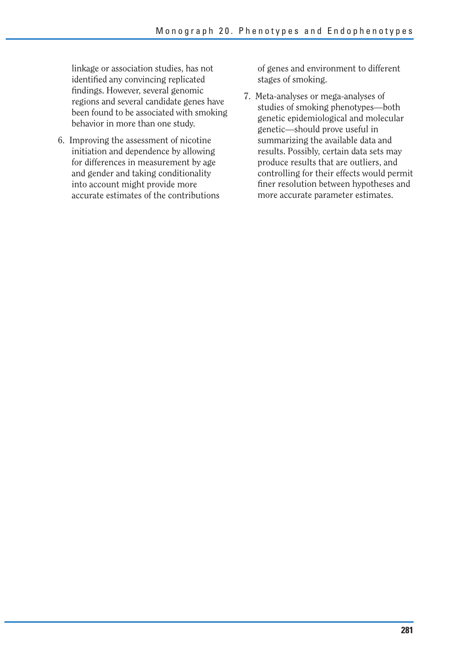linkage or association studies, has not identified any convincing replicated findings. However, several genomic regions and several candidate genes have been found to be associated with smoking behavior in more than one study.

6. Improving the assessment of nicotine initiation and dependence by allowing for differences in measurement by age and gender and taking conditionality into account might provide more accurate estimates of the contributions of genes and environment to different stages of smoking.

7. Meta-analyses or mega-analyses of studies of smoking phenotypes—both genetic epidemiological and molecular genetic—should prove useful in summarizing the available data and results. Possibly, certain data sets may produce results that are outliers, and controlling for their effects would permit finer resolution between hypotheses and more accurate parameter estimates.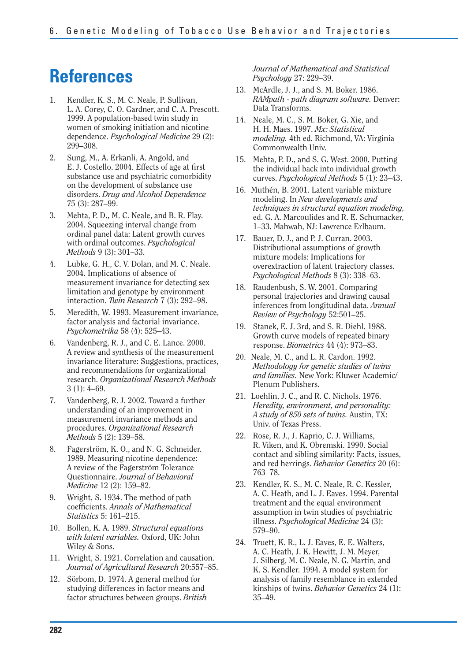# **References**

- 1. Kendler, K. S., M. C. Neale, P. Sullivan, L. A. Corey, C. O. Gardner, and C. A. Prescott. 1999. A population-based twin study in women of smoking initiation and nicotine dependence. *Psychological Medicine* 29 (2): 299–308.
- 2. Sung, M., A. Erkanli, A. Angold, and E. J. Costello. 2004. Effects of age at first substance use and psychiatric comorbidity on the development of substance use disorders. *Drug and Alcohol Dependence*  75 (3): 287–99.
- 3. Mehta, P. D., M. C. Neale, and B. R. Flay. 2004. Squeezing interval change from ordinal panel data: Latent growth curves with ordinal outcomes. *Psychological Methods* 9 (3): 301–33.
- 4. Lubke, G. H., C. V. Dolan, and M. C. Neale. 2004. Implications of absence of measurement invariance for detecting sex limitation and genotype by environment interaction. *Twin Research* 7 (3): 292–98.
- 5. Meredith, W. 1993. Measurement invariance, factor analysis and factorial invariance. *Psychometrika* 58 (4): 525–43.
- 6. Vandenberg, R. J., and C. E. Lance. 2000. A review and synthesis of the measurement invariance literature: Suggestions, practices, and recommendations for organizational research. *Organizational Research Methods*  3 (1): 4–69.
- 7. Vandenberg, R. J. 2002. Toward a further understanding of an improvement in measurement invariance methods and procedures. *Organizational Research Methods* 5 (2): 139–58.
- 8. Fagerström, K. O., and N. G. Schneider. 1989. Measuring nicotine dependence: A review of the Fagerström Tolerance Questionnaire. *Journal of Behavioral Medicine* 12 (2): 159–82.
- 9. Wright, S. 1934. The method of path coeffi cients. *Annals of Mathematical Statistics* 5: 161–215.
- 10. Bollen, K. A. 1989. *Structural equations with latent variables.* Oxford, UK: John Wiley & Sons.
- 11. Wright, S. 1921. Correlation and causation. *Journal of Agricultural Research* 20:557–85.
- 12. Sörbom, D. 1974. A general method for studying differences in factor means and factor structures between groups. *British*

*Journal of Mathematical and Statistical Psychology* 27: 229–39.

- 13. McArdle, J. J., and S. M. Boker. 1986. *RAMpath - path diagram software.* Denver: Data Transforms.
- 14. Neale, M. C., S. M. Boker, G. Xie, and H. H. Maes. 1997. *Mx: Statistical modeling.* 4th ed. Richmond, VA: Virginia Commonwealth Univ.
- 15. Mehta, P. D., and S. G. West. 2000. Putting the individual back into individual growth curves. *Psychological Methods* 5 (1): 23–43.
- 16. Muthén, B. 2001. Latent variable mixture modeling. In *New developments and techniques in structural equation modeling,*  ed. G. A. Marcoulides and R. E. Schumacker, 1–33. Mahwah, NJ: Lawrence Erlbaum.
- 17. Bauer, D. J., and P. J. Curran. 2003. Distributional assumptions of growth mixture models: Implications for overextraction of latent trajectory classes. *Psychological Methods* 8 (3): 338–63.
- 18. Raudenbush, S. W. 2001. Comparing personal trajectories and drawing causal inferences from longitudinal data. *Annual Review of Psychology* 52:501–25.
- 19. Stanek, E. J. 3rd, and S. R. Diehl. 1988. Growth curve models of repeated binary response. *Biometrics* 44 (4): 973–83.
- 20. Neale, M. C., and L. R. Cardon. 1992. *Methodology for genetic studies of twins and families.* New York: Kluwer Academic/ Plenum Publishers.
- 21. Loehlin, J. C., and R. C. Nichols. 1976. *Heredity, environment, and personality: A study of 850 sets of twins.* Austin, TX: Univ. of Texas Press.
- 22. Rose, R. J., J. Kaprio, C. J. Williams, R. Viken, and K. Obremski. 1990. Social contact and sibling similarity: Facts, issues, and red herrings. *Behavior Genetics* 20 (6): 763–78.
- 23. Kendler, K. S., M. C. Neale, R. C. Kessler, A. C. Heath, and L. J. Eaves. 1994. Parental treatment and the equal environment assumption in twin studies of psychiatric illness. *Psychological Medicine* 24 (3): 579–90.
- 24. Truett, K. R., L. J. Eaves, E. E. Walters, A. C. Heath, J. K. Hewitt, J. M. Meyer, J. Silberg, M. C. Neale, N. G. Martin, and K. S. Kendler. 1994. A model system for analysis of family resemblance in extended kinships of twins. *Behavior Genetics* 24 (1): 35–49.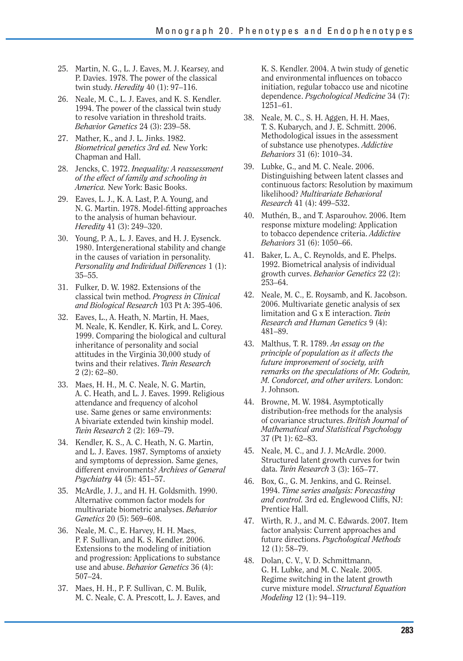- 25. Martin, N. G., L. J. Eaves, M. J. Kearsey, and P. Davies. 1978. The power of the classical twin study. *Heredity* 40 (1): 97–116.
- 26. Neale, M. C., L. J. Eaves, and K. S. Kendler. 1994. The power of the classical twin study to resolve variation in threshold traits. *Behavior Genetics* 24 (3): 239–58.
- 27. Mather, K., and J. L. Jinks. 1982. *Biometrical genetics 3rd ed.* New York: Chapman and Hall.
- 28. Jencks, C. 1972. *Inequality: A reassessment of the effect of family and schooling in America.* New York: Basic Books.
- 29. Eaves, L. J., K. A. Last, P. A. Young, and N. G. Martin. 1978. Model-fitting approaches to the analysis of human behaviour. *Heredity* 41 (3): 249–320.
- 30. Young, P. A., L. J. Eaves, and H. J. Eysenck. 1980. Intergenerational stability and change in the causes of variation in personality. *Personality and Individual Differences* 1 (1): 35–55.
- 31. Fulker, D. W. 1982. Extensions of the classical twin method. *Progress in Clinical and Biological Research* 103 Pt A: 395-406.
- 32. Eaves, L., A. Heath, N. Martin, H. Maes, M. Neale, K. Kendler, K. Kirk, and L. Corey. 1999. Comparing the biological and cultural inheritance of personality and social attitudes in the Virginia 30,000 study of twins and their relatives. *Twin Research*  2 (2): 62–80.
- 33. Maes, H. H., M. C. Neale, N. G. Martin, A. C. Heath, and L. J. Eaves. 1999. Religious attendance and frequency of alcohol use. Same genes or same environments: A bivariate extended twin kinship model. *Twin Research* 2 (2): 169–79.
- 34. Kendler, K. S., A. C. Heath, N. G. Martin, and L. J. Eaves. 1987. Symptoms of anxiety and symptoms of depression. Same genes, different environments? *Archives of General Psychiatry* 44 (5): 451–57.
- 35. McArdle, J. J., and H. H. Goldsmith. 1990. Alternative common factor models for multivariate biometric analyses. *Behavior Genetics* 20 (5): 569–608.
- 36. Neale, M. C., E. Harvey, H. H. Maes, P. F. Sullivan, and K. S. Kendler. 2006. Extensions to the modeling of initiation and progression: Applications to substance use and abuse. *Behavior Genetics* 36 (4): 507–24.
- 37. Maes, H. H., P. F. Sullivan, C. M. Bulik, M. C. Neale, C. A. Prescott, L. J. Eaves, and

K. S. Kendler. 2004. A twin study of genetic and environmental influences on tobacco initiation, regular tobacco use and nicotine dependence. *Psychological Medicine* 34 (7): 1251–61.

- 38. Neale, M. C., S. H. Aggen, H. H. Maes, T. S. Kubarych, and J. E. Schmitt. 2006. Methodological issues in the assessment of substance use phenotypes. *Addictive Behaviors* 31 (6): 1010–34.
- 39. Lubke, G., and M. C. Neale. 2006. Distinguishing between latent classes and continuous factors: Resolution by maximum likelihood? *Multivariate Behavioral Research* 41 (4): 499–532.
- 40. Muthén, B., and T. Asparouhov. 2006. Item response mixture modeling: Application to tobacco dependence criteria. *Addictive Behaviors* 31 (6): 1050–66.
- 41. Baker, L. A., C. Reynolds, and E. Phelps. 1992. Biometrical analysis of individual growth curves. *Behavior Genetics* 22 (2): 253–64.
- 42. Neale, M. C., E. Roysamb, and K. Jacobson. 2006. Multivariate genetic analysis of sex limitation and G x E interaction. *Twin Research and Human Genetics* 9 (4): 481–89.
- 43. Malthus, T. R. 1789. *An essay on the principle of population as it affects the future improvement of society, with remarks on the speculations of Mr. Godwin, M. Condorcet, and other writers.* London: J. Johnson.
- 44. Browne, M. W. 1984. Asymptotically distribution-free methods for the analysis of covariance structures. *British Journal of Mathematical and Statistical Psychology*  37 (Pt 1): 62–83.
- 45. Neale, M. C., and J. J. McArdle. 2000. Structured latent growth curves for twin data. *Twin Research* 3 (3): 165–77.
- 46. Box, G., G. M. Jenkins, and G. Reinsel. 1994. *Time series analysis: Forecasting and control.* 3rd ed. Englewood Cliffs, NJ: Prentice Hall.
- 47. Wirth, R. J., and M. C. Edwards. 2007. Item factor analysis: Current approaches and future directions. *Psychological Methods*  12 (1): 58–79.
- 48. Dolan, C. V., V. D. Schmittmann, G. H. Lubke, and M. C. Neale. 2005. Regime switching in the latent growth curve mixture model. *Structural Equation Modeling* 12 (1): 94–119.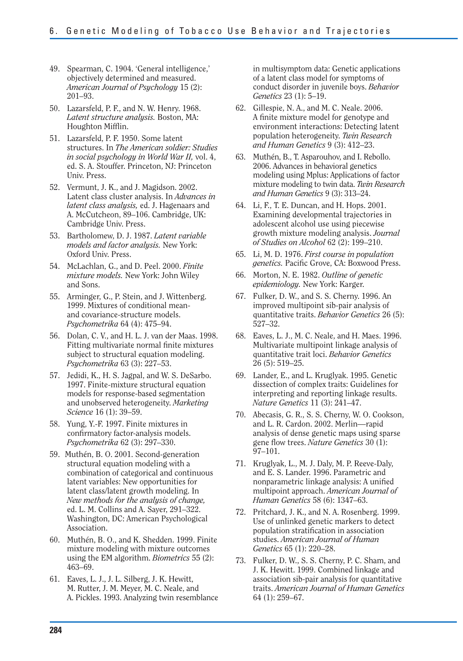- 49. Spearman, C. 1904. 'General intelligence,' objectively determined and measured. *American Journal of Psychology* 15 (2): 201–93.
- 50. Lazarsfeld, P. F., and N. W. Henry. 1968. *Latent structure analysis.* Boston, MA: Houghton Mifflin.
- 51. Lazarsfeld, P. F. 1950. Some latent structures. In *The American soldier: Studies in social psychology in World War II,* vol. 4, ed. S. A. Stouffer. Princeton, NJ: Princeton Univ. Press.
- 52. Vermunt, J. K., and J. Magidson. 2002. Latent class cluster analysis. In *Advances in latent class analysis,* ed. J. Hagenaars and A. McCutcheon, 89–106. Cambridge, UK: Cambridge Univ. Press.
- 53. Bartholomew, D. J. 1987. *Latent variable models and factor analysis.* New York: Oxford Univ. Press.
- 54. McLachlan, G., and D. Peel. 2000. *Finite mixture models.* New York: John Wiley and Sons.
- 55. Arminger, G., P. Stein, and J. Wittenberg. 1999. Mixtures of conditional meanand covariance-structure models. *Psychometrika* 64 (4): 475–94.
- 56. Dolan, C. V., and H. L. J. van der Maas. 1998. Fitting multivariate normal finite mixtures subject to structural equation modeling. *Psychometrika* 63 (3): 227–53.
- 57. Jedidi, K., H. S. Jagpal, and W. S. DeSarbo. 1997. Finite-mixture structural equation models for response-based segmentation and unobserved heterogeneity. *Marketing Science* 16 (1): 39–59.
- 58. Yung, Y.-F. 1997. Finite mixtures in confirmatory factor-analysis models. *Psychometrika* 62 (3): 297–330.
- 59. Muthén, B. O. 2001. Second-generation structural equation modeling with a combination of categorical and continuous latent variables: New opportunities for latent class/latent growth modeling. In *New methods for the analysis of change,*  ed. L. M. Collins and A. Sayer, 291–322. Washington, DC: American Psychological Association.
- 60. Muthén, B. O., and K. Shedden. 1999. Finite mixture modeling with mixture outcomes using the EM algorithm. *Biometrics* 55 (2): 463–69.
- 61. Eaves, L. J., J. L. Silberg, J. K. Hewitt, M. Rutter, J. M. Meyer, M. C. Neale, and A. Pickles. 1993. Analyzing twin resemblance

in multisymptom data: Genetic applications of a latent class model for symptoms of conduct disorder in juvenile boys. *Behavior Genetics* 23 (1): 5–19.

- 62. Gillespie, N. A., and M. C. Neale. 2006. A finite mixture model for genotype and environment interactions: Detecting latent population heterogeneity. *Twin Research and Human Genetics* 9 (3): 412–23.
- 63. Muthén, B., T. Asparouhov, and I. Rebollo. 2006. Advances in behavioral genetics modeling using Mplus: Applications of factor mixture modeling to twin data. *Twin Research and Human Genetics* 9 (3): 313–24.
- 64. Li, F., T. E. Duncan, and H. Hops. 2001. Examining developmental trajectories in adolescent alcohol use using piecewise growth mixture modeling analysis. *Journal of Studies on Alcohol* 62 (2): 199–210.
- 65. Li, M. D. 1976. *First course in population genetics.* Pacific Grove, CA: Boxwood Press.
- 66. Morton, N. E. 1982. *Outline of genetic epidemiology.* New York: Karger.
- 67. Fulker, D. W., and S. S. Cherny. 1996. An improved multipoint sib-pair analysis of quantitative traits. *Behavior Genetics* 26 (5): 527–32.
- 68. Eaves, L. J., M. C. Neale, and H. Maes. 1996. Multivariate multipoint linkage analysis of quantitative trait loci. *Behavior Genetics*  26 (5): 519–25.
- 69. Lander, E., and L. Kruglyak. 1995. Genetic dissection of complex traits: Guidelines for interpreting and reporting linkage results. *Nature Genetics* 11 (3): 241–47.
- 70. Abecasis, G. R., S. S. Cherny, W. O. Cookson, and L. R. Cardon. 2002. Merlin—rapid analysis of dense genetic maps using sparse gene flow trees. *Nature Genetics* 30 (1): 97–101.
- 71. Kruglyak, L., M. J. Daly, M. P. Reeve-Daly, and E. S. Lander. 1996. Parametric and nonparametric linkage analysis: A unified multipoint approach. *American Journal of Human Genetics* 58 (6): 1347–63.
- 72. Pritchard, J. K., and N. A. Rosenberg. 1999. Use of unlinked genetic markers to detect population stratification in association studies. *American Journal of Human Genetics* 65 (1): 220–28.
- 73. Fulker, D. W., S. S. Cherny, P. C. Sham, and J. K. Hewitt. 1999. Combined linkage and association sib-pair analysis for quantitative traits. *American Journal of Human Genetics*  64 (1): 259–67.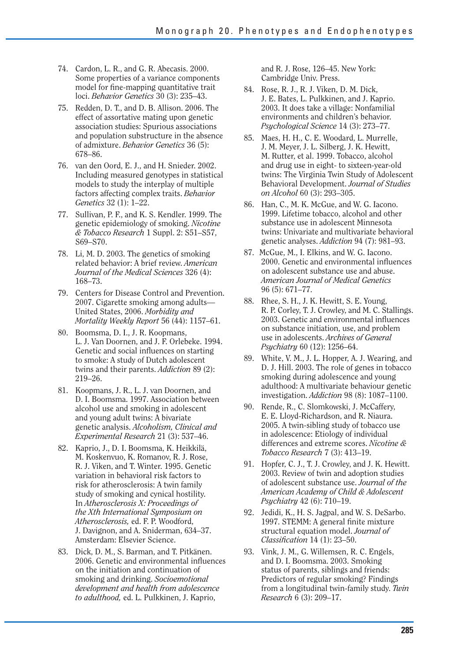- 74. Cardon, L. R., and G. R. Abecasis. 2000. Some properties of a variance components model for fine-mapping quantitative trait loci. *Behavior Genetics* 30 (3): 235–43.
- 75. Redden, D. T., and D. B. Allison. 2006. The effect of assortative mating upon genetic association studies: Spurious associations and population substructure in the absence of admixture. *Behavior Genetics* 36 (5): 678–86.
- 76. van den Oord, E. J., and H. Snieder. 2002. Including measured genotypes in statistical models to study the interplay of multiple factors affecting complex traits. *Behavior Genetics* 32 (1): 1–22.
- 77. Sullivan, P. F., and K. S. Kendler. 1999. The genetic epidemiology of smoking. *Nicotine & Tobacco Research* 1 Suppl. 2: S51–S57, S69–S70.
- 78. Li, M. D. 2003. The genetics of smoking related behavior: A brief review. *American Journal of the Medical Sciences* 326 (4): 168–73.
- 79. Centers for Disease Control and Prevention. 2007. Cigarette smoking among adults— United States, 2006. *Morbidity and Mortality Weekly Report* 56 (44): 1157–61.
- 80. Boomsma, D. I., J. R. Koopmans, L. J. Van Doornen, and J. F. Orlebeke. 1994. Genetic and social influences on starting to smoke: A study of Dutch adolescent twins and their parents. *Addiction* 89 (2): 219–26.
- 81. Koopmans, J. R., L. J. van Doornen, and D. I. Boomsma. 1997. Association between alcohol use and smoking in adolescent and young adult twins: A bivariate genetic analysis. *Alcoholism, Clinical and Experimental Research* 21 (3): 537–46.
- 82. Kaprio, J., D. I. Boomsma, K. Heikkilä, M. Koskenvuo, K. Romanov, R. J. Rose, R. J. Viken, and T. Winter. 1995. Genetic variation in behavioral risk factors to risk for atherosclerosis: A twin family study of smoking and cynical hostility. In *Atherosclerosis X: Proceedings of the Xth International Symposium on Atherosclerosis,* ed. F. P. Woodford, J. Davignon, and A. Sniderman, 634–37. Amsterdam: Elsevier Science.
- 83. Dick, D. M., S. Barman, and T. Pitkänen. 2006. Genetic and environmental influences on the initiation and continuation of smoking and drinking. *Socioemotional development and health from adolescence to adulthood,* ed. L. Pulkkinen, J. Kaprio,

and R. J. Rose, 126–45. New York: Cambridge Univ. Press.

- 84. Rose, R. J., R. J. Viken, D. M. Dick, J. E. Bates, L. Pulkkinen, and J. Kaprio. 2003. It does take a village: Nonfamilial environments and children's behavior. *Psychological Science* 14 (3): 273–77.
- 85. Maes, H. H., C. E. Woodard, L. Murrelle, J. M. Meyer, J. L. Silberg, J. K. Hewitt, M. Rutter, et al. 1999. Tobacco, alcohol and drug use in eight- to sixteen-year-old twins: The Virginia Twin Study of Adolescent Behavioral Development. *Journal of Studies on Alcohol* 60 (3): 293–305.
- 86. Han, C., M. K. McGue, and W. G. Iacono. 1999. Lifetime tobacco, alcohol and other substance use in adolescent Minnesota twins: Univariate and multivariate behavioral genetic analyses. *Addiction* 94 (7): 981–93.
- 87. McGue, M., I. Elkins, and W. G. Iacono. 2000. Genetic and environmental influences on adolescent substance use and abuse. *American Journal of Medical Genetics*  96 (5): 671–77.
- 88. Rhee, S. H., J. K. Hewitt, S. E. Young, R. P. Corley, T. J. Crowley, and M. C. Stallings. 2003. Genetic and environmental influences on substance initiation, use, and problem use in adolescents. *Archives of General Psychiatry* 60 (12): 1256–64.
- 89. White, V. M., J. L. Hopper, A. J. Wearing, and D. J. Hill. 2003. The role of genes in tobacco smoking during adolescence and young adulthood: A multivariate behaviour genetic investigation. *Addiction* 98 (8): 1087–1100.
- 90. Rende, R., C. Slomkowski, J. McCaffery, E. E. Lloyd-Richardson, and R. Niaura. 2005. A twin-sibling study of tobacco use in adolescence: Etiology of individual differences and extreme scores. *Nicotine & Tobacco Research* 7 (3): 413–19.
- 91. Hopfer, C. J., T. J. Crowley, and J. K. Hewitt. 2003. Review of twin and adoption studies of adolescent substance use. *Journal of the American Academy of Child & Adolescent Psychiatry* 42 (6): 710–19.
- 92. Jedidi, K., H. S. Jagpal, and W. S. DeSarbo. 1997. STEMM: A general finite mixture structural equation model. *Journal of Classifi cation* 14 (1): 23–50.
- 93. Vink, J. M., G. Willemsen, R. C. Engels, and D. I. Boomsma. 2003. Smoking status of parents, siblings and friends: Predictors of regular smoking? Findings from a longitudinal twin-family study. *Twin Research* 6 (3): 209–17.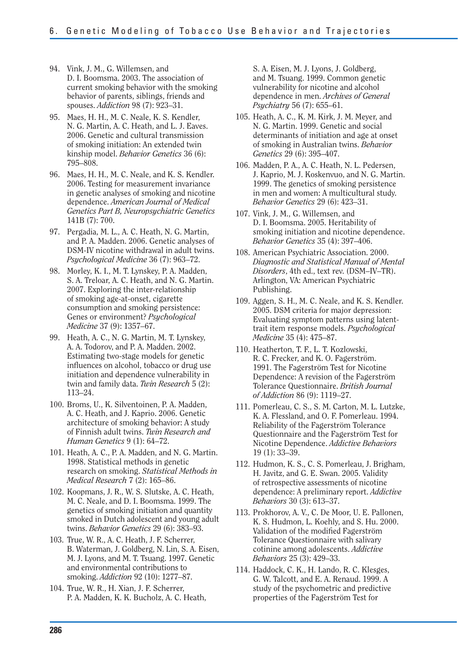- 94. Vink, J. M., G. Willemsen, and D. I. Boomsma. 2003. The association of current smoking behavior with the smoking behavior of parents, siblings, friends and spouses. *Addiction* 98 (7): 923–31.
- 95. Maes, H. H., M. C. Neale, K. S. Kendler, N. G. Martin, A. C. Heath, and L. J. Eaves. 2006. Genetic and cultural transmission of smoking initiation: An extended twin kinship model. *Behavior Genetics* 36 (6): 795–808.
- 96. Maes, H. H., M. C. Neale, and K. S. Kendler. 2006. Testing for measurement invariance in genetic analyses of smoking and nicotine dependence. *American Journal of Medical Genetics Part B, Neuropsychiatric Genetics*  141B (7): 700.
- 97. Pergadia, M. L., A. C. Heath, N. G. Martin, and P. A. Madden. 2006. Genetic analyses of DSM-IV nicotine withdrawal in adult twins. *Psychological Medicine* 36 (7): 963–72.
- 98. Morley, K. I., M. T. Lynskey, P. A. Madden, S. A. Treloar, A. C. Heath, and N. G. Martin. 2007. Exploring the inter-relationship of smoking age-at-onset, cigarette consumption and smoking persistence: Genes or environment? *Psychological Medicine* 37 (9): 1357–67.
- 99. Heath, A. C., N. G. Martin, M. T. Lynskey, A. A. Todorov, and P. A. Madden. 2002. Estimating two-stage models for genetic influences on alcohol, tobacco or drug use initiation and dependence vulnerability in twin and family data. *Twin Research* 5 (2): 113–24.
- 100. Broms, U., K. Silventoinen, P. A. Madden, A. C. Heath, and J. Kaprio. 2006. Genetic architecture of smoking behavior: A study of Finnish adult twins. *Twin Research and Human Genetics* 9 (1): 64–72.
- 101. Heath, A. C., P. A. Madden, and N. G. Martin. 1998. Statistical methods in genetic research on smoking. *Statistical Methods in Medical Research* 7 (2): 165–86.
- 102. Koopmans, J. R., W. S. Slutske, A. C. Heath, M. C. Neale, and D. I. Boomsma. 1999. The genetics of smoking initiation and quantity smoked in Dutch adolescent and young adult twins. *Behavior Genetics* 29 (6): 383–93.
- 103. True, W. R., A. C. Heath, J. F. Scherrer, B. Waterman, J. Goldberg, N. Lin, S. A. Eisen, M. J. Lyons, and M. T. Tsuang. 1997. Genetic and environmental contributions to smoking. *Addiction* 92 (10): 1277–87.
- 104. True, W. R., H. Xian, J. F. Scherrer, P. A. Madden, K. K. Bucholz, A. C. Heath,

S. A. Eisen, M. J. Lyons, J. Goldberg, and M. Tsuang. 1999. Common genetic vulnerability for nicotine and alcohol dependence in men. *Archives of General Psychiatry* 56 (7): 655–61.

- 105. Heath, A. C., K. M. Kirk, J. M. Meyer, and N. G. Martin. 1999. Genetic and social determinants of initiation and age at onset of smoking in Australian twins. *Behavior Genetics* 29 (6): 395–407.
- 106. Madden, P. A., A. C. Heath, N. L. Pedersen, J. Kaprio, M. J. Koskenvuo, and N. G. Martin. 1999. The genetics of smoking persistence in men and women: A multicultural study. *Behavior Genetics* 29 (6): 423–31.
- 107. Vink, J. M., G. Willemsen, and D. I. Boomsma. 2005. Heritability of smoking initiation and nicotine dependence. *Behavior Genetics* 35 (4): 397–406.
- 108. American Psychiatric Association. 2000. *Diagnostic and Statistical Manual of Mental Disorders*, 4th ed., text rev. (DSM–IV–TR). Arlington, VA: American Psychiatric Publishing.
- 109. Aggen, S. H., M. C. Neale, and K. S. Kendler. 2005. DSM criteria for major depression: Evaluating symptom patterns using latenttrait item response models. *Psychological Medicine* 35 (4): 475–87.
- 110. Heatherton, T. F., L. T. Kozlowski, R. C. Frecker, and K. O. Fagerström. 1991. The Fagerström Test for Nicotine Dependence: A revision of the Fagerström Tolerance Questionnaire. *British Journal of Addiction* 86 (9): 1119–27.
- 111. Pomerleau, C. S., S. M. Carton, M. L. Lutzke, K. A. Flessland, and O. F. Pomerleau. 1994. Reliability of the Fagerström Tolerance Questionnaire and the Fagerström Test for Nicotine Dependence. *Addictive Behaviors*  19 (1): 33–39.
- 112. Hudmon, K. S., C. S. Pomerleau, J. Brigham, H. Javitz, and G. E. Swan. 2005. Validity of retrospective assessments of nicotine dependence: A preliminary report. *Addictive Behaviors* 30 (3): 613–37.
- 113. Prokhorov, A. V., C. De Moor, U. E. Pallonen, K. S. Hudmon, L. Koehly, and S. Hu. 2000. Validation of the modified Fagerström Tolerance Questionnaire with salivary cotinine among adolescents. *Addictive Behaviors* 25 (3): 429–33.
- 114. Haddock, C. K., H. Lando, R. C. Klesges, G. W. Talcott, and E. A. Renaud. 1999. A study of the psychometric and predictive properties of the Fagerström Test for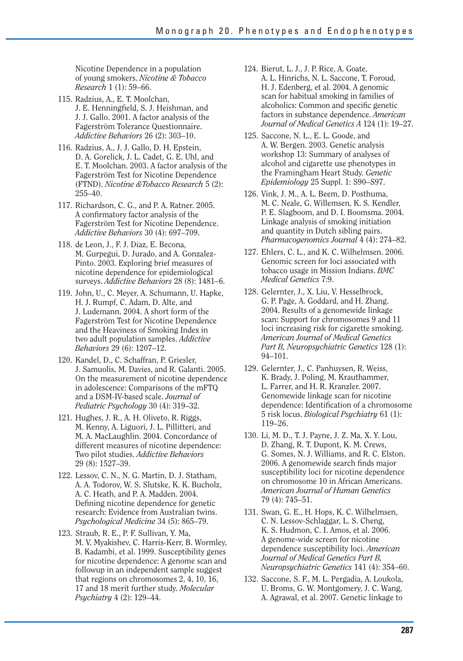Nicotine Dependence in a population of young smokers. *Nicotine & Tobacco Research* 1 (1): 59–66.

- 115. Radzius, A., E. T. Moolchan, J. E. Henningfield, S. J. Heishman, and J. J. Gallo. 2001. A factor analysis of the Fagerström Tolerance Questionnaire. *Addictive Behaviors* 26 (2): 303–10.
- 116. Radzius, A., J. J. Gallo, D. H. Epstein, D. A. Gorelick, J. L. Cadet, G. E. Uhl, and E. T. Moolchan. 2003. A factor analysis of the Fagerström Test for Nicotine Dependence (FTND). *Nicotine &Tobacco Research* 5 (2): 255–40.
- 117. Richardson, C. G., and P. A. Ratner. 2005. A confirmatory factor analysis of the Fagerström Test for Nicotine Dependence. *Addictive Behaviors* 30 (4): 697–709.
- 118. de Leon, J., F. J. Diaz, E. Becona, M. Gurpegui, D. Jurado, and A. Gonzalez-Pinto. 2003. Exploring brief measures of nicotine dependence for epidemiological surveys. *Addictive Behaviors* 28 (8): 1481–6.
- 119. John, U., C. Meyer, A. Schumann, U. Hapke, H. J. Rumpf, C. Adam, D. Alte, and J. Ludemann. 2004. A short form of the Fagerström Test for Nicotine Dependence and the Heaviness of Smoking Index in two adult population samples. *Addictive Behaviors* 29 (6): 1207–12.
- 120. Kandel, D., C. Schaffran, P. Griesler, J. Samuolis, M. Davies, and R. Galanti. 2005. On the measurement of nicotine dependence in adolescence: Comparisons of the mFTQ and a DSM-IV-based scale. *Journal of Pediatric Psychology* 30 (4): 319–32.
- 121. Hughes, J. R., A. H. Oliveto, R. Riggs, M. Kenny, A. Liguori, J. L. Pillitteri, and M. A. MacLaughlin. 2004. Concordance of different measures of nicotine dependence: Two pilot studies. *Addictive Behaviors*  29 (8): 1527–39.
- 122. Lessov, C. N., N. G. Martin, D. J. Statham, A. A. Todorov, W. S. Slutske, K. K. Bucholz, A. C. Heath, and P. A. Madden. 2004. Defining nicotine dependence for genetic research: Evidence from Australian twins. *Psychological Medicine* 34 (5): 865–79.
- 123. Straub, R. E., P. F. Sullivan, Y. Ma, M. V. Myakishev, C. Harris-Kerr, B. Wormley, B. Kadambi, et al. 1999. Susceptibility genes for nicotine dependence: A genome scan and followup in an independent sample suggest that regions on chromosomes 2, 4, 10, 16, 17 and 18 merit further study. *Molecular Psychiatry* 4 (2): 129–44.
- 124. Bierut, L. J., J. P. Rice, A. Goate, A. L. Hinrichs, N. L. Saccone, T. Foroud, H. J. Edenberg, et al. 2004. A genomic scan for habitual smoking in families of alcoholics: Common and specific genetic factors in substance dependence. *American Journal of Medical Genetics A* 124 (1): 19–27.
- 125. Saccone, N. L., E. L. Goode, and A. W. Bergen. 2003. Genetic analysis workshop 13: Summary of analyses of alcohol and cigarette use phenotypes in the Framingham Heart Study. *Genetic Epidemiology* 25 Suppl. 1: S90–S97.
- 126. Vink, J. M., A. L. Beem, D. Posthuma, M. C. Neale, G. Willemsen, K. S. Kendler, P. E. Slagboom, and D. I. Boomsma. 2004. Linkage analysis of smoking initiation and quantity in Dutch sibling pairs. *Pharmacogenomics Journal* 4 (4): 274–82.
- 127. Ehlers, C. L., and K. C. Wilhelmsen. 2006. Genomic screen for loci associated with tobacco usage in Mission Indians. *BMC Medical Genetics* 7:9.
- 128. Gelernter, J., X. Liu, V. Hesselbrock, G. P. Page, A. Goddard, and H. Zhang. 2004. Results of a genomewide linkage scan: Support for chromosomes 9 and 11 loci increasing risk for cigarette smoking. *American Journal of Medical Genetics Part B, Neuropsychiatric Genetics* 128 (1): 94–101.
- 129. Gelernter, J., C. Panhuysen, R. Weiss, K. Brady, J. Poling, M. Krauthammer, L. Farrer, and H. R. Kranzler. 2007. Genomewide linkage scan for nicotine dependence: Identification of a chromosome 5 risk locus. *Biological Psychiatry* 61 (1): 119–26.
- 130. Li, M. D., T. J. Payne, J. Z. Ma, X. Y. Lou, D. Zhang, R. T. Dupont, K. M. Crews, G. Somes, N. J. Williams, and R. C. Elston. 2006. A genomewide search finds major susceptibility loci for nicotine dependence on chromosome 10 in African Americans. *American Journal of Human Genetics*  79 (4): 745–51.
- 131. Swan, G. E., H. Hops, K. C. Wilhelmsen, C. N. Lessov-Schlaggar, L. S. Cheng, K. S. Hudmon, C. I. Amos, et al. 2006. A genome-wide screen for nicotine dependence susceptibility loci. *American Journal of Medical Genetics Part B, Neuropsychiatric Genetics* 141 (4): 354–60.
- 132. Saccone, S. F., M. L. Pergadia, A. Loukola, U. Broms, G. W. Montgomery, J. C. Wang, A. Agrawal, et al. 2007. Genetic linkage to